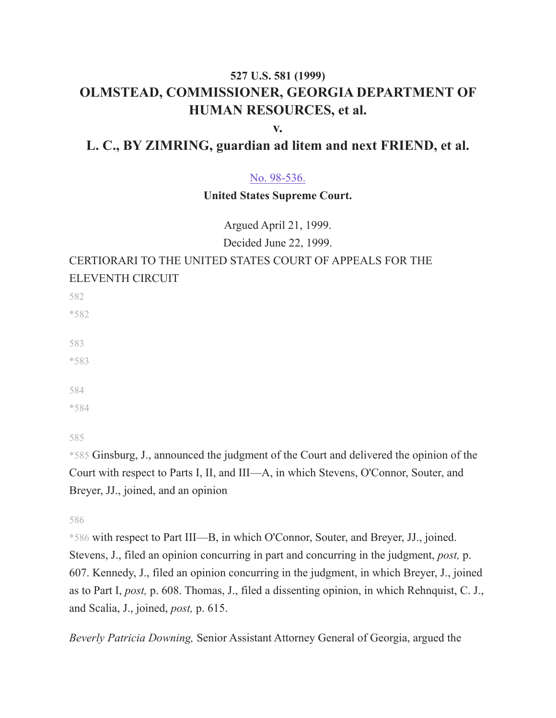## **527 U.S. 581 (1999) OLMSTEAD, COMMISSIONER, GEORGIA DEPARTMENT OF HUMAN RESOURCES, et al.**

### **v.**

## **L. C., BY ZIMRING, guardian ad litem and next FRIEND, et al.**

### [No. 98-536.](http://scholar.google.com/scholar?scidkt=8496075663910886491&as_sdt=2&hl=en)

### **United States Supreme Court.**

Argued April 21, 1999.

Decided June 22, 1999.

## CERTIORARI TO THE UNITED STATES COURT OF APPEALS FOR THE ELEVENTH CIRCUIT

582

\*582

583

\*583

584

\*584

585

\*585 Ginsburg, J., announced the judgment of the Court and delivered the opinion of the Court with respect to Parts I, II, and III—A, in which Stevens, O'Connor, Souter, and Breyer, JJ., joined, and an opinion

586

\*586 with respect to Part III—B, in which O'Connor, Souter, and Breyer, JJ., joined. Stevens, J., filed an opinion concurring in part and concurring in the judgment, *post,* p. 607. Kennedy, J., filed an opinion concurring in the judgment, in which Breyer, J., joined as to Part I, *post,* p. 608. Thomas, J., filed a dissenting opinion, in which Rehnquist, C. J., and Scalia, J., joined, *post,* p. 615.

*Beverly Patricia Downing,* Senior Assistant Attorney General of Georgia, argued the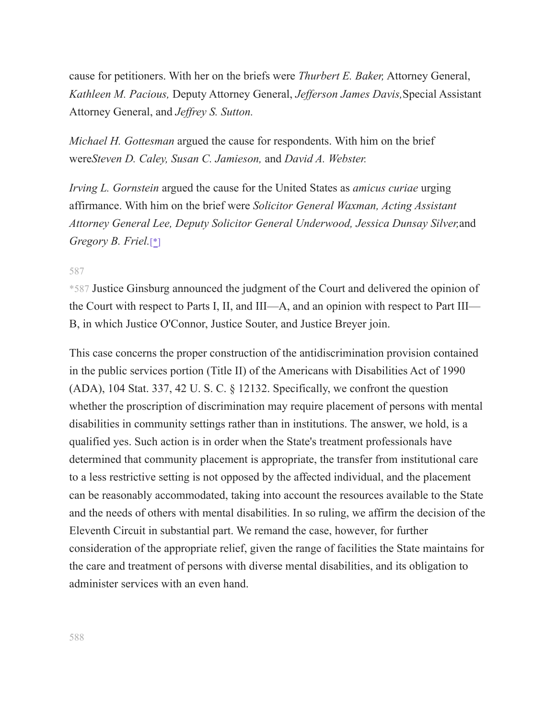cause for petitioners. With her on the briefs were *Thurbert E. Baker,* Attorney General, *Kathleen M. Pacious,* Deputy Attorney General, *Jefferson James Davis,*Special Assistant Attorney General, and *Jeffrey S. Sutton.*

*Michael H. Gottesman* argued the cause for respondents. With him on the brief were*Steven D. Caley, Susan C. Jamieson,* and *David A. Webster.*

*Irving L. Gornstein* argued the cause for the United States as *amicus curiae* urging affirmance. With him on the brief were *Solicitor General Waxman, Acting Assistant Attorney General Lee, Deputy Solicitor General Underwood, Jessica Dunsay Silver,*and *Gregory B. Friel.*[\[\\*\]](http://scholar.google.com/scholar_case?q=+Olmstead+v.+L.C.&hl=en&as_sdt=2,14&case=1057318245348059744&scilh=0#%5B1%5D)

587

\*587 Justice Ginsburg announced the judgment of the Court and delivered the opinion of the Court with respect to Parts I, II, and III—A, and an opinion with respect to Part III— B, in which Justice O'Connor, Justice Souter, and Justice Breyer join.

This case concerns the proper construction of the antidiscrimination provision contained in the public services portion (Title II) of the Americans with Disabilities Act of 1990 (ADA), 104 Stat. 337, 42 U. S. C. § 12132. Specifically, we confront the question whether the proscription of discrimination may require placement of persons with mental disabilities in community settings rather than in institutions. The answer, we hold, is a qualified yes. Such action is in order when the State's treatment professionals have determined that community placement is appropriate, the transfer from institutional care to a less restrictive setting is not opposed by the affected individual, and the placement can be reasonably accommodated, taking into account the resources available to the State and the needs of others with mental disabilities. In so ruling, we affirm the decision of the Eleventh Circuit in substantial part. We remand the case, however, for further consideration of the appropriate relief, given the range of facilities the State maintains for the care and treatment of persons with diverse mental disabilities, and its obligation to administer services with an even hand.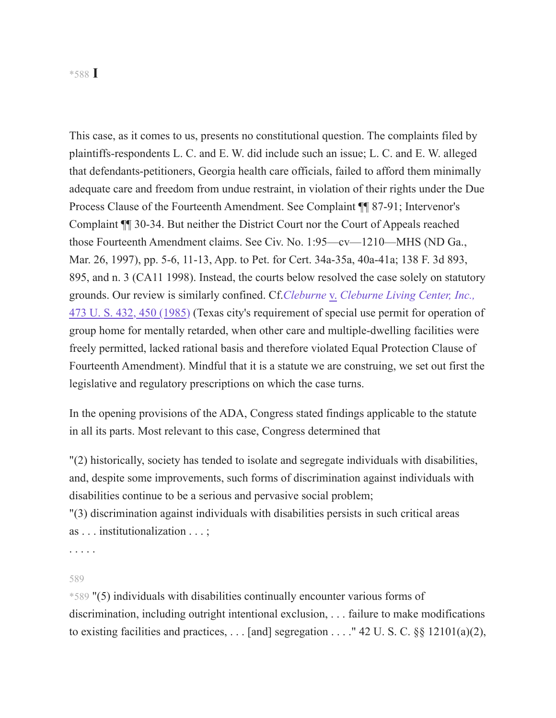\*588 **I**

This case, as it comes to us, presents no constitutional question. The complaints filed by plaintiffs-respondents L. C. and E. W. did include such an issue; L. C. and E. W. alleged that defendants-petitioners, Georgia health care officials, failed to afford them minimally adequate care and freedom from undue restraint, in violation of their rights under the Due Process Clause of the Fourteenth Amendment. See Complaint ¶¶ 87-91; Intervenor's Complaint ¶¶ 30-34. But neither the District Court nor the Court of Appeals reached those Fourteenth Amendment claims. See Civ. No. 1:95—cv—1210—MHS (ND Ga., Mar. 26, 1997), pp. 5-6, 11-13, App. to Pet. for Cert. 34a-35a, 40a-41a; 138 F. 3d 893, 895, and n. 3 (CA11 1998). Instead, the courts below resolved the case solely on statutory grounds. Our review is similarly confined. Cf.*[Cleburne](http://scholar.google.com/scholar_case?case=5414073463989452198&q=+Olmstead+v.+L.C.&hl=en&as_sdt=2,14&scilh=0)* [v.](http://scholar.google.com/scholar_case?case=5414073463989452198&q=+Olmstead+v.+L.C.&hl=en&as_sdt=2,14&scilh=0) *[Cleburne Living Center, Inc.,](http://scholar.google.com/scholar_case?case=5414073463989452198&q=+Olmstead+v.+L.C.&hl=en&as_sdt=2,14&scilh=0)* [473 U. S. 432, 450 \(1985\)](http://scholar.google.com/scholar_case?case=5414073463989452198&q=+Olmstead+v.+L.C.&hl=en&as_sdt=2,14&scilh=0) (Texas city's requirement of special use permit for operation of group home for mentally retarded, when other care and multiple-dwelling facilities were freely permitted, lacked rational basis and therefore violated Equal Protection Clause of Fourteenth Amendment). Mindful that it is a statute we are construing, we set out first the legislative and regulatory prescriptions on which the case turns.

In the opening provisions of the ADA, Congress stated findings applicable to the statute in all its parts. Most relevant to this case, Congress determined that

"(2) historically, society has tended to isolate and segregate individuals with disabilities, and, despite some improvements, such forms of discrimination against individuals with disabilities continue to be a serious and pervasive social problem;

"(3) discrimination against individuals with disabilities persists in such critical areas as . . . institutionalization . . . ;

. . . . .

#### 589

\*589 "(5) individuals with disabilities continually encounter various forms of discrimination, including outright intentional exclusion, . . . failure to make modifications to existing facilities and practices, ... [and] segregation ... ." 42 U.S.C.  $\S$ § 12101(a)(2),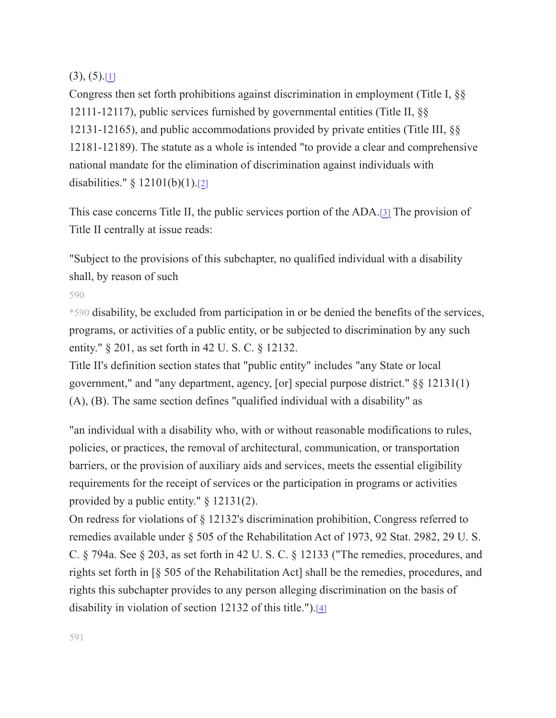## $(3), (5).11$

Congress then set forth prohibitions against discrimination in employment (Title I, §§ 12111-12117), public services furnished by governmental entities (Title II, §§ 12131-12165), and public accommodations provided by private entities (Title III, §§ 12181-12189). The statute as a whole is intended "to provide a clear and comprehensive national mandate for the elimination of discrimination against individuals with disabilities." § 12101(b)(1).[\[2\]](http://scholar.google.com/scholar_case?q=+Olmstead+v.+L.C.&hl=en&as_sdt=2,14&case=1057318245348059744&scilh=0#%5B3%5D)

This case concerns Title II, the public services portion of the ADA[.\[3\]](http://scholar.google.com/scholar_case?q=+Olmstead+v.+L.C.&hl=en&as_sdt=2,14&case=1057318245348059744&scilh=0#%5B4%5D) The provision of Title II centrally at issue reads:

"Subject to the provisions of this subchapter, no qualified individual with a disability shall, by reason of such

590

\*590 disability, be excluded from participation in or be denied the benefits of the services, programs, or activities of a public entity, or be subjected to discrimination by any such entity." § 201, as set forth in 42 U. S. C. § 12132.

Title II's definition section states that "public entity" includes "any State or local government," and "any department, agency, [or] special purpose district." §§ 12131(1) (A), (B). The same section defines "qualified individual with a disability" as

"an individual with a disability who, with or without reasonable modifications to rules, policies, or practices, the removal of architectural, communication, or transportation barriers, or the provision of auxiliary aids and services, meets the essential eligibility requirements for the receipt of services or the participation in programs or activities provided by a public entity." § 12131(2).

On redress for violations of § 12132's discrimination prohibition, Congress referred to remedies available under § 505 of the Rehabilitation Act of 1973, 92 Stat. 2982, 29 U. S. C. § 794a. See § 203, as set forth in 42 U. S. C. § 12133 ("The remedies, procedures, and rights set forth in [§ 505 of the Rehabilitation Act] shall be the remedies, procedures, and rights this subchapter provides to any person alleging discrimination on the basis of disability in violation of section 12132 of this title.")[.\[4\]](http://scholar.google.com/scholar_case?q=+Olmstead+v.+L.C.&hl=en&as_sdt=2,14&case=1057318245348059744&scilh=0#%5B5%5D)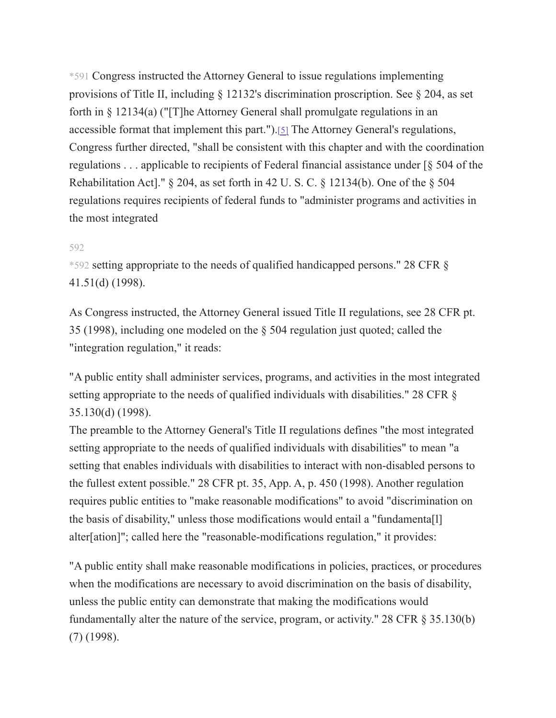\*591 Congress instructed the Attorney General to issue regulations implementing provisions of Title II, including § 12132's discrimination proscription. See § 204, as set forth in § 12134(a) ("[T]he Attorney General shall promulgate regulations in an accessible format that implement this part.").[\[5\]](http://scholar.google.com/scholar_case?q=+Olmstead+v.+L.C.&hl=en&as_sdt=2,14&case=1057318245348059744&scilh=0#%5B6%5D) The Attorney General's regulations, Congress further directed, "shall be consistent with this chapter and with the coordination regulations . . . applicable to recipients of Federal financial assistance under [§ 504 of the Rehabilitation Act]." § 204, as set forth in 42 U. S. C. § 12134(b). One of the § 504 regulations requires recipients of federal funds to "administer programs and activities in the most integrated

### 592

\*592 setting appropriate to the needs of qualified handicapped persons." 28 CFR § 41.51(d) (1998).

As Congress instructed, the Attorney General issued Title II regulations, see 28 CFR pt. 35 (1998), including one modeled on the § 504 regulation just quoted; called the "integration regulation," it reads:

"A public entity shall administer services, programs, and activities in the most integrated setting appropriate to the needs of qualified individuals with disabilities." 28 CFR § 35.130(d) (1998).

The preamble to the Attorney General's Title II regulations defines "the most integrated setting appropriate to the needs of qualified individuals with disabilities" to mean "a setting that enables individuals with disabilities to interact with non-disabled persons to the fullest extent possible." 28 CFR pt. 35, App. A, p. 450 (1998). Another regulation requires public entities to "make reasonable modifications" to avoid "discrimination on the basis of disability," unless those modifications would entail a "fundamenta[l] alter[ation]"; called here the "reasonable-modifications regulation," it provides:

"A public entity shall make reasonable modifications in policies, practices, or procedures when the modifications are necessary to avoid discrimination on the basis of disability, unless the public entity can demonstrate that making the modifications would fundamentally alter the nature of the service, program, or activity." 28 CFR § 35.130(b) (7) (1998).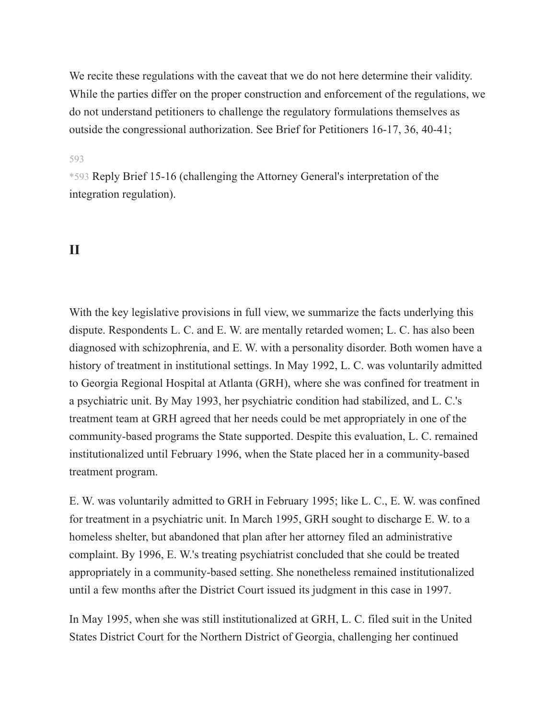We recite these regulations with the caveat that we do not here determine their validity. While the parties differ on the proper construction and enforcement of the regulations, we do not understand petitioners to challenge the regulatory formulations themselves as outside the congressional authorization. See Brief for Petitioners 16-17, 36, 40-41;

#### 593

\*593 Reply Brief 15-16 (challenging the Attorney General's interpretation of the integration regulation).

## **II**

With the key legislative provisions in full view, we summarize the facts underlying this dispute. Respondents L. C. and E. W. are mentally retarded women; L. C. has also been diagnosed with schizophrenia, and E. W. with a personality disorder. Both women have a history of treatment in institutional settings. In May 1992, L. C. was voluntarily admitted to Georgia Regional Hospital at Atlanta (GRH), where she was confined for treatment in a psychiatric unit. By May 1993, her psychiatric condition had stabilized, and L. C.'s treatment team at GRH agreed that her needs could be met appropriately in one of the community-based programs the State supported. Despite this evaluation, L. C. remained institutionalized until February 1996, when the State placed her in a community-based treatment program.

E. W. was voluntarily admitted to GRH in February 1995; like L. C., E. W. was confined for treatment in a psychiatric unit. In March 1995, GRH sought to discharge E. W. to a homeless shelter, but abandoned that plan after her attorney filed an administrative complaint. By 1996, E. W.'s treating psychiatrist concluded that she could be treated appropriately in a community-based setting. She nonetheless remained institutionalized until a few months after the District Court issued its judgment in this case in 1997.

In May 1995, when she was still institutionalized at GRH, L. C. filed suit in the United States District Court for the Northern District of Georgia, challenging her continued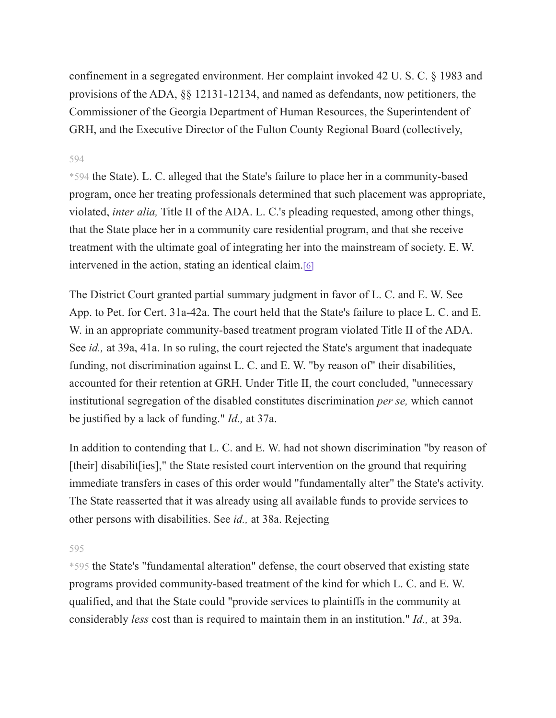confinement in a segregated environment. Her complaint invoked 42 U. S. C. § 1983 and provisions of the ADA, §§ 12131-12134, and named as defendants, now petitioners, the Commissioner of the Georgia Department of Human Resources, the Superintendent of GRH, and the Executive Director of the Fulton County Regional Board (collectively,

#### 594

\*594 the State). L. C. alleged that the State's failure to place her in a community-based program, once her treating professionals determined that such placement was appropriate, violated, *inter alia,* Title II of the ADA. L. C.'s pleading requested, among other things, that the State place her in a community care residential program, and that she receive treatment with the ultimate goal of integrating her into the mainstream of society. E. W. intervened in the action, stating an identical claim.[\[6\]](http://scholar.google.com/scholar_case?q=+Olmstead+v.+L.C.&hl=en&as_sdt=2,14&case=1057318245348059744&scilh=0#%5B7%5D)

The District Court granted partial summary judgment in favor of L. C. and E. W. See App. to Pet. for Cert. 31a-42a. The court held that the State's failure to place L. C. and E. W. in an appropriate community-based treatment program violated Title II of the ADA. See *id.,* at 39a, 41a. In so ruling, the court rejected the State's argument that inadequate funding, not discrimination against L. C. and E. W. "by reason of" their disabilities, accounted for their retention at GRH. Under Title II, the court concluded, "unnecessary institutional segregation of the disabled constitutes discrimination *per se,* which cannot be justified by a lack of funding." *Id.,* at 37a.

In addition to contending that L. C. and E. W. had not shown discrimination "by reason of [their] disabilit[ies]," the State resisted court intervention on the ground that requiring immediate transfers in cases of this order would "fundamentally alter" the State's activity. The State reasserted that it was already using all available funds to provide services to other persons with disabilities. See *id.,* at 38a. Rejecting

#### 595

\*595 the State's "fundamental alteration" defense, the court observed that existing state programs provided community-based treatment of the kind for which L. C. and E. W. qualified, and that the State could "provide services to plaintiffs in the community at considerably *less* cost than is required to maintain them in an institution." *Id.,* at 39a.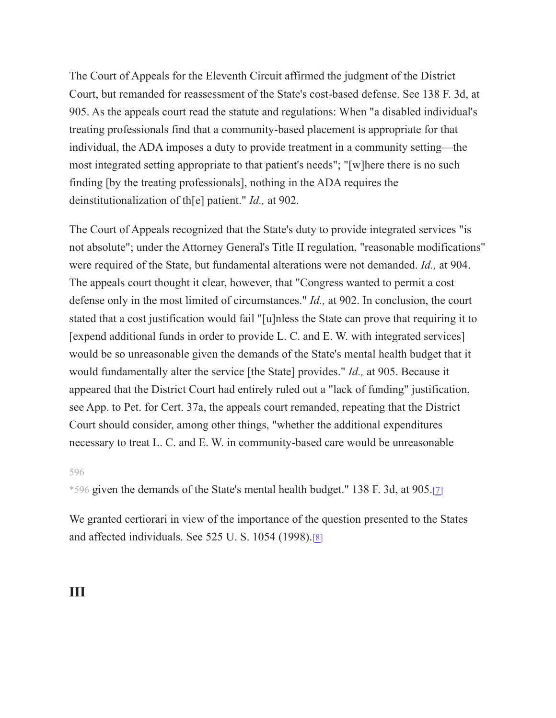The Court of Appeals for the Eleventh Circuit affirmed the judgment of the District Court, but remanded for reassessment of the State's cost-based defense. See 138 F. 3d, at 905. As the appeals court read the statute and regulations: When "a disabled individual's treating professionals find that a community-based placement is appropriate for that individual, the ADA imposes a duty to provide treatment in a community setting—the most integrated setting appropriate to that patient's needs"; "[w]here there is no such finding [by the treating professionals], nothing in the ADA requires the deinstitutionalization of th[e] patient." *Id.,* at 902.

The Court of Appeals recognized that the State's duty to provide integrated services "is not absolute"; under the Attorney General's Title II regulation, "reasonable modifications" were required of the State, but fundamental alterations were not demanded. *Id.,* at 904. The appeals court thought it clear, however, that "Congress wanted to permit a cost defense only in the most limited of circumstances." *Id.,* at 902. In conclusion, the court stated that a cost justification would fail "[u]nless the State can prove that requiring it to [expend additional funds in order to provide L. C. and E. W. with integrated services] would be so unreasonable given the demands of the State's mental health budget that it would fundamentally alter the service [the State] provides." *Id.,* at 905. Because it appeared that the District Court had entirely ruled out a "lack of funding" justification, see App. to Pet. for Cert. 37a, the appeals court remanded, repeating that the District Court should consider, among other things, "whether the additional expenditures necessary to treat L. C. and E. W. in community-based care would be unreasonable

596

\*596 given the demands of the State's mental health budget." 138 F. 3d, at 905[.\[7\]](http://scholar.google.com/scholar_case?q=+Olmstead+v.+L.C.&hl=en&as_sdt=2,14&case=1057318245348059744&scilh=0#%5B8%5D)

We granted certiorari in view of the importance of the question presented to the States and affected individuals. See 525 U. S. 1054 (1998).[\[8\]](http://scholar.google.com/scholar_case?q=+Olmstead+v.+L.C.&hl=en&as_sdt=2,14&case=1057318245348059744&scilh=0#%5B9%5D)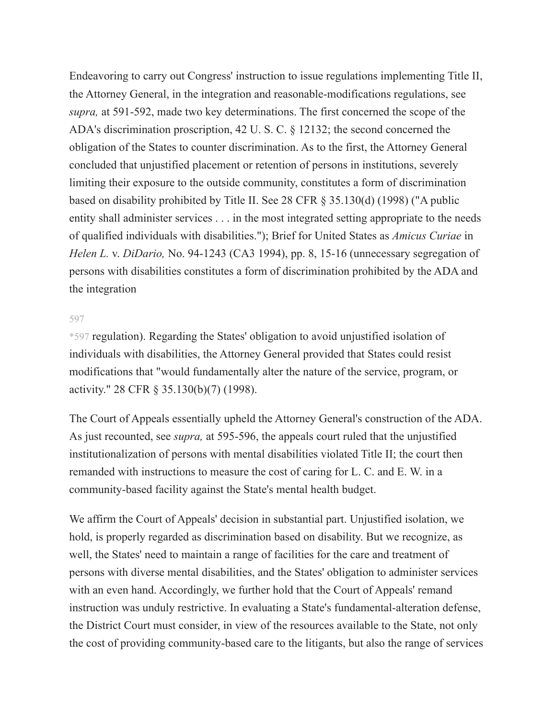Endeavoring to carry out Congress' instruction to issue regulations implementing Title II, the Attorney General, in the integration and reasonable-modifications regulations, see *supra,* at 591-592, made two key determinations. The first concerned the scope of the ADA's discrimination proscription, 42 U. S. C. § 12132; the second concerned the obligation of the States to counter discrimination. As to the first, the Attorney General concluded that unjustified placement or retention of persons in institutions, severely limiting their exposure to the outside community, constitutes a form of discrimination based on disability prohibited by Title II. See 28 CFR § 35.130(d) (1998) ("A public entity shall administer services . . . in the most integrated setting appropriate to the needs of qualified individuals with disabilities."); Brief for United States as *Amicus Curiae* in *Helen L.* v. *DiDario,* No. 94-1243 (CA3 1994), pp. 8, 15-16 (unnecessary segregation of persons with disabilities constitutes a form of discrimination prohibited by the ADA and the integration

#### 597

\*597 regulation). Regarding the States' obligation to avoid unjustified isolation of individuals with disabilities, the Attorney General provided that States could resist modifications that "would fundamentally alter the nature of the service, program, or activity." 28 CFR § 35.130(b)(7) (1998).

The Court of Appeals essentially upheld the Attorney General's construction of the ADA. As just recounted, see *supra,* at 595-596, the appeals court ruled that the unjustified institutionalization of persons with mental disabilities violated Title II; the court then remanded with instructions to measure the cost of caring for L. C. and E. W. in a community-based facility against the State's mental health budget.

We affirm the Court of Appeals' decision in substantial part. Unjustified isolation, we hold, is properly regarded as discrimination based on disability. But we recognize, as well, the States' need to maintain a range of facilities for the care and treatment of persons with diverse mental disabilities, and the States' obligation to administer services with an even hand. Accordingly, we further hold that the Court of Appeals' remand instruction was unduly restrictive. In evaluating a State's fundamental-alteration defense, the District Court must consider, in view of the resources available to the State, not only the cost of providing community-based care to the litigants, but also the range of services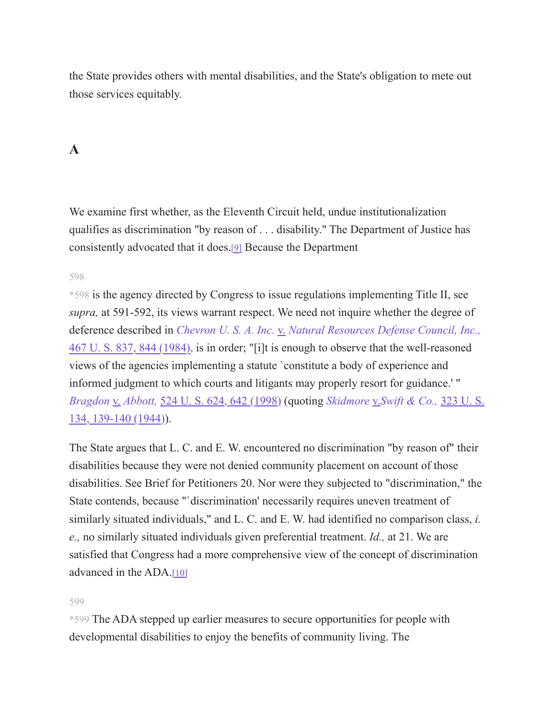the State provides others with mental disabilities, and the State's obligation to mete out those services equitably.

## **A**

We examine first whether, as the Eleventh Circuit held, undue institutionalization qualifies as discrimination "by reason of . . . disability." The Department of Justice has consistently advocated that it does.[\[9\]](http://scholar.google.com/scholar_case?q=+Olmstead+v.+L.C.&hl=en&as_sdt=2,14&case=1057318245348059744&scilh=0#%5B10%5D) Because the Department

#### 598

\*598 is the agency directed by Congress to issue regulations implementing Title II, see *supra,* at 591-592, its views warrant respect. We need not inquire whether the degree of deference described in *[Chevron U. S. A. Inc.](http://scholar.google.com/scholar_case?case=14437597860792759765&q=+Olmstead+v.+L.C.&hl=en&as_sdt=2,14&scilh=0)* [v.](http://scholar.google.com/scholar_case?case=14437597860792759765&q=+Olmstead+v.+L.C.&hl=en&as_sdt=2,14&scilh=0) *Natural Resources Defense Council, Inc.*, [467 U. S. 837, 844 \(1984\),](http://scholar.google.com/scholar_case?case=14437597860792759765&q=+Olmstead+v.+L.C.&hl=en&as_sdt=2,14&scilh=0) is in order; "[i]t is enough to observe that the well-reasoned views of the agencies implementing a statute `constitute a body of experience and informed judgment to which courts and litigants may properly resort for guidance.' " *[Bragdon](http://scholar.google.com/scholar_case?case=11295524924367699420&q=+Olmstead+v.+L.C.&hl=en&as_sdt=2,14&scilh=0)* [v.](http://scholar.google.com/scholar_case?case=11295524924367699420&q=+Olmstead+v.+L.C.&hl=en&as_sdt=2,14&scilh=0) *[Abbott,](http://scholar.google.com/scholar_case?case=11295524924367699420&q=+Olmstead+v.+L.C.&hl=en&as_sdt=2,14&scilh=0)* [524 U. S. 624, 642 \(1998\)](http://scholar.google.com/scholar_case?case=11295524924367699420&q=+Olmstead+v.+L.C.&hl=en&as_sdt=2,14&scilh=0) (quoting *[Skidmore](http://scholar.google.com/scholar_case?case=3762971005508365670&q=+Olmstead+v.+L.C.&hl=en&as_sdt=2,14&scilh=0)* [v.](http://scholar.google.com/scholar_case?case=3762971005508365670&q=+Olmstead+v.+L.C.&hl=en&as_sdt=2,14&scilh=0)*[Swift & Co.,](http://scholar.google.com/scholar_case?case=3762971005508365670&q=+Olmstead+v.+L.C.&hl=en&as_sdt=2,14&scilh=0)* [323 U. S.](http://scholar.google.com/scholar_case?case=3762971005508365670&q=+Olmstead+v.+L.C.&hl=en&as_sdt=2,14&scilh=0)  [134, 139-140 \(1944\)\)](http://scholar.google.com/scholar_case?case=3762971005508365670&q=+Olmstead+v.+L.C.&hl=en&as_sdt=2,14&scilh=0).

The State argues that L. C. and E. W. encountered no discrimination "by reason of" their disabilities because they were not denied community placement on account of those disabilities. See Brief for Petitioners 20. Nor were they subjected to "discrimination," the State contends, because "`discrimination' necessarily requires uneven treatment of similarly situated individuals," and L. C. and E. W. had identified no comparison class, *i. e.,* no similarly situated individuals given preferential treatment. *Id.,* at 21. We are satisfied that Congress had a more comprehensive view of the concept of discrimination advanced in the  $ADA.[10]$  $ADA.[10]$ 

#### 599

\*599 The ADA stepped up earlier measures to secure opportunities for people with developmental disabilities to enjoy the benefits of community living. The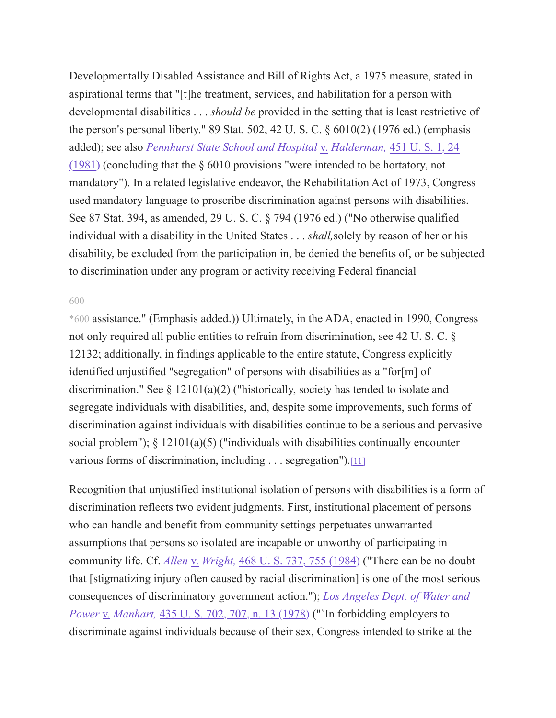Developmentally Disabled Assistance and Bill of Rights Act, a 1975 measure, stated in aspirational terms that "[t]he treatment, services, and habilitation for a person with developmental disabilities . . . *should be* provided in the setting that is least restrictive of the person's personal liberty." 89 Stat. 502, 42 U. S. C. § 6010(2) (1976 ed.) (emphasis added); see also *[Pennhurst State School and Hospital](http://scholar.google.com/scholar_case?case=13878865053463720829&q=+Olmstead+v.+L.C.&hl=en&as_sdt=2,14&scilh=0)* [v.](http://scholar.google.com/scholar_case?case=13878865053463720829&q=+Olmstead+v.+L.C.&hl=en&as_sdt=2,14&scilh=0) *[Halderman,](http://scholar.google.com/scholar_case?case=13878865053463720829&q=+Olmstead+v.+L.C.&hl=en&as_sdt=2,14&scilh=0)* [451 U. S. 1, 24](http://scholar.google.com/scholar_case?case=13878865053463720829&q=+Olmstead+v.+L.C.&hl=en&as_sdt=2,14&scilh=0)  [\(1981\)](http://scholar.google.com/scholar_case?case=13878865053463720829&q=+Olmstead+v.+L.C.&hl=en&as_sdt=2,14&scilh=0) (concluding that the § 6010 provisions "were intended to be hortatory, not mandatory"). In a related legislative endeavor, the Rehabilitation Act of 1973, Congress used mandatory language to proscribe discrimination against persons with disabilities. See 87 Stat. 394, as amended, 29 U. S. C. § 794 (1976 ed.) ("No otherwise qualified individual with a disability in the United States . . . *shall,*solely by reason of her or his disability, be excluded from the participation in, be denied the benefits of, or be subjected to discrimination under any program or activity receiving Federal financial

#### 600

\*600 assistance." (Emphasis added.)) Ultimately, in the ADA, enacted in 1990, Congress not only required all public entities to refrain from discrimination, see 42 U. S. C. § 12132; additionally, in findings applicable to the entire statute, Congress explicitly identified unjustified "segregation" of persons with disabilities as a "for[m] of discrimination." See  $\S$  12101(a)(2) ("historically, society has tended to isolate and segregate individuals with disabilities, and, despite some improvements, such forms of discrimination against individuals with disabilities continue to be a serious and pervasive social problem");  $\S$  12101(a)(5) ("individuals with disabilities continually encounter various forms of discrimination, including . . . segregation").[\[11\]](http://scholar.google.com/scholar_case?q=+Olmstead+v.+L.C.&hl=en&as_sdt=2,14&case=1057318245348059744&scilh=0#%5B12%5D)

Recognition that unjustified institutional isolation of persons with disabilities is a form of discrimination reflects two evident judgments. First, institutional placement of persons who can handle and benefit from community settings perpetuates unwarranted assumptions that persons so isolated are incapable or unworthy of participating in community life. Cf. *[Allen](http://scholar.google.com/scholar_case?case=5272142302925951593&q=+Olmstead+v.+L.C.&hl=en&as_sdt=2,14&scilh=0)* [v.](http://scholar.google.com/scholar_case?case=5272142302925951593&q=+Olmstead+v.+L.C.&hl=en&as_sdt=2,14&scilh=0) *[Wright,](http://scholar.google.com/scholar_case?case=5272142302925951593&q=+Olmstead+v.+L.C.&hl=en&as_sdt=2,14&scilh=0)* [468 U. S. 737, 755 \(1984\)](http://scholar.google.com/scholar_case?case=5272142302925951593&q=+Olmstead+v.+L.C.&hl=en&as_sdt=2,14&scilh=0) ("There can be no doubt that [stigmatizing injury often caused by racial discrimination] is one of the most serious consequences of discriminatory government action."); *[Los Angeles Dept. of Water and](http://scholar.google.com/scholar_case?case=10164337249526753874&q=+Olmstead+v.+L.C.&hl=en&as_sdt=2,14&scilh=0)  [Power](http://scholar.google.com/scholar_case?case=10164337249526753874&q=+Olmstead+v.+L.C.&hl=en&as_sdt=2,14&scilh=0)* [v.](http://scholar.google.com/scholar_case?case=10164337249526753874&q=+Olmstead+v.+L.C.&hl=en&as_sdt=2,14&scilh=0) *[Manhart,](http://scholar.google.com/scholar_case?case=10164337249526753874&q=+Olmstead+v.+L.C.&hl=en&as_sdt=2,14&scilh=0)* [435 U. S. 702, 707, n. 13 \(1978\)](http://scholar.google.com/scholar_case?case=10164337249526753874&q=+Olmstead+v.+L.C.&hl=en&as_sdt=2,14&scilh=0) ("`In forbidding employers to discriminate against individuals because of their sex, Congress intended to strike at the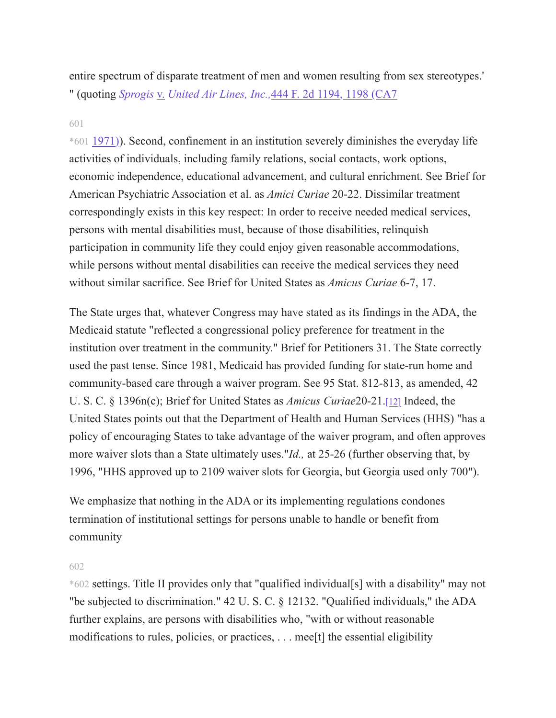entire spectrum of disparate treatment of men and women resulting from sex stereotypes.' " (quoting *[Sprogis](http://scholar.google.com/scholar_case?case=6414446781408942176&q=+Olmstead+v.+L.C.&hl=en&as_sdt=2,14&scilh=0)* [v.](http://scholar.google.com/scholar_case?case=6414446781408942176&q=+Olmstead+v.+L.C.&hl=en&as_sdt=2,14&scilh=0) *[United Air Lines, Inc.,](http://scholar.google.com/scholar_case?case=6414446781408942176&q=+Olmstead+v.+L.C.&hl=en&as_sdt=2,14&scilh=0)*[444 F. 2d 1194, 1198 \(CA7](http://scholar.google.com/scholar_case?case=6414446781408942176&q=+Olmstead+v.+L.C.&hl=en&as_sdt=2,14&scilh=0)

#### 601

\*601 [1971\)](http://scholar.google.com/scholar_case?case=6414446781408942176&q=+Olmstead+v.+L.C.&hl=en&as_sdt=2,14&scilh=0)). Second, confinement in an institution severely diminishes the everyday life activities of individuals, including family relations, social contacts, work options, economic independence, educational advancement, and cultural enrichment. See Brief for American Psychiatric Association et al. as *Amici Curiae* 20-22. Dissimilar treatment correspondingly exists in this key respect: In order to receive needed medical services, persons with mental disabilities must, because of those disabilities, relinquish participation in community life they could enjoy given reasonable accommodations, while persons without mental disabilities can receive the medical services they need without similar sacrifice. See Brief for United States as *Amicus Curiae* 6-7, 17.

The State urges that, whatever Congress may have stated as its findings in the ADA, the Medicaid statute "reflected a congressional policy preference for treatment in the institution over treatment in the community." Brief for Petitioners 31. The State correctly used the past tense. Since 1981, Medicaid has provided funding for state-run home and community-based care through a waiver program. See 95 Stat. 812-813, as amended, 42 U. S. C. § 1396n(c); Brief for United States as *Amicus Curiae*20-21.[\[12\]](http://scholar.google.com/scholar_case?q=+Olmstead+v.+L.C.&hl=en&as_sdt=2,14&case=1057318245348059744&scilh=0#%5B13%5D) Indeed, the United States points out that the Department of Health and Human Services (HHS) "has a policy of encouraging States to take advantage of the waiver program, and often approves more waiver slots than a State ultimately uses."*Id.,* at 25-26 (further observing that, by 1996, "HHS approved up to 2109 waiver slots for Georgia, but Georgia used only 700").

We emphasize that nothing in the ADA or its implementing regulations condones termination of institutional settings for persons unable to handle or benefit from community

#### 602

\*602 settings. Title II provides only that "qualified individual[s] with a disability" may not "be subjected to discrimination." 42 U. S. C. § 12132. "Qualified individuals," the ADA further explains, are persons with disabilities who, "with or without reasonable modifications to rules, policies, or practices, . . . mee[t] the essential eligibility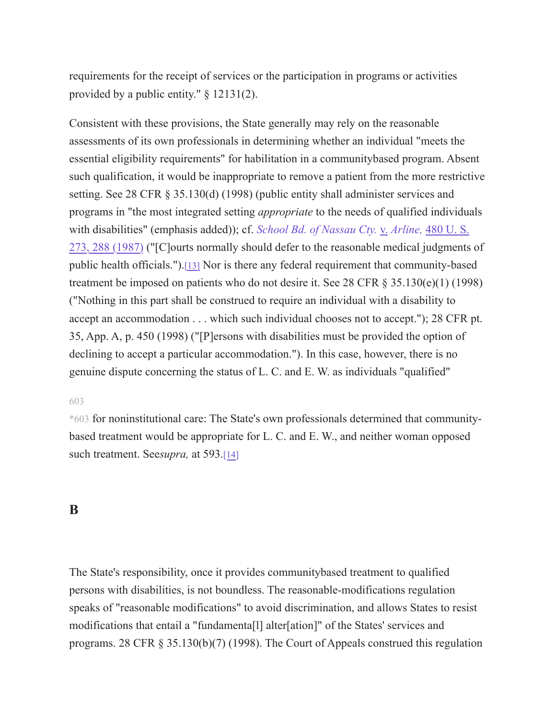requirements for the receipt of services or the participation in programs or activities provided by a public entity." § 12131(2).

Consistent with these provisions, the State generally may rely on the reasonable assessments of its own professionals in determining whether an individual "meets the essential eligibility requirements" for habilitation in a communitybased program. Absent such qualification, it would be inappropriate to remove a patient from the more restrictive setting. See 28 CFR § 35.130(d) (1998) (public entity shall administer services and programs in "the most integrated setting *appropriate* to the needs of qualified individuals with disabilities" (emphasis added)); cf. *[School Bd. of Nassau Cty.](http://scholar.google.com/scholar_case?case=18375668216164208702&q=+Olmstead+v.+L.C.&hl=en&as_sdt=2,14&scilh=0)* [v.](http://scholar.google.com/scholar_case?case=18375668216164208702&q=+Olmstead+v.+L.C.&hl=en&as_sdt=2,14&scilh=0) *[Arline,](http://scholar.google.com/scholar_case?case=18375668216164208702&q=+Olmstead+v.+L.C.&hl=en&as_sdt=2,14&scilh=0)* [480 U. S.](http://scholar.google.com/scholar_case?case=18375668216164208702&q=+Olmstead+v.+L.C.&hl=en&as_sdt=2,14&scilh=0)  [273, 288 \(1987\)](http://scholar.google.com/scholar_case?case=18375668216164208702&q=+Olmstead+v.+L.C.&hl=en&as_sdt=2,14&scilh=0) ("[C]ourts normally should defer to the reasonable medical judgments of public health officials.")[.\[13\]](http://scholar.google.com/scholar_case?q=+Olmstead+v.+L.C.&hl=en&as_sdt=2,14&case=1057318245348059744&scilh=0#%5B14%5D) Nor is there any federal requirement that community-based treatment be imposed on patients who do not desire it. See 28 CFR § 35.130(e)(1) (1998) ("Nothing in this part shall be construed to require an individual with a disability to accept an accommodation . . . which such individual chooses not to accept."); 28 CFR pt. 35, App. A, p. 450 (1998) ("[P]ersons with disabilities must be provided the option of declining to accept a particular accommodation."). In this case, however, there is no genuine dispute concerning the status of L. C. and E. W. as individuals "qualified"

#### 603

\*603 for noninstitutional care: The State's own professionals determined that communitybased treatment would be appropriate for L. C. and E. W., and neither woman opposed such treatment. See*supra,* at 593[.\[14\]](http://scholar.google.com/scholar_case?q=+Olmstead+v.+L.C.&hl=en&as_sdt=2,14&case=1057318245348059744&scilh=0#%5B15%5D)

## **B**

The State's responsibility, once it provides communitybased treatment to qualified persons with disabilities, is not boundless. The reasonable-modifications regulation speaks of "reasonable modifications" to avoid discrimination, and allows States to resist modifications that entail a "fundamenta[l] alter[ation]" of the States' services and programs. 28 CFR § 35.130(b)(7) (1998). The Court of Appeals construed this regulation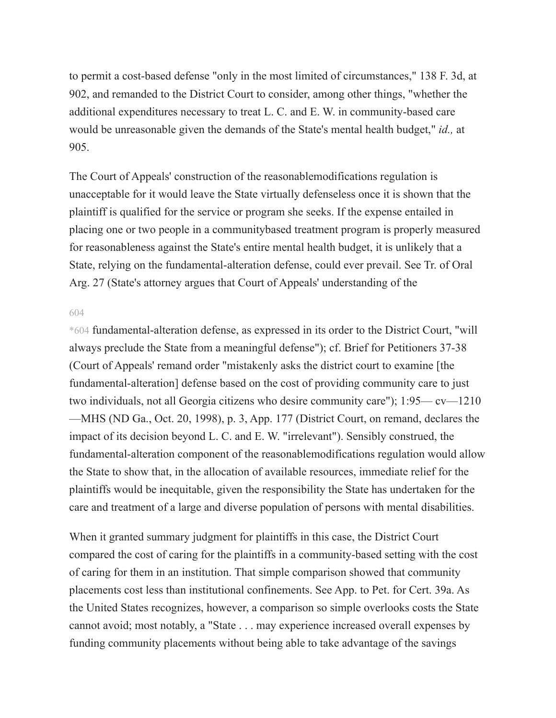to permit a cost-based defense "only in the most limited of circumstances," 138 F. 3d, at 902, and remanded to the District Court to consider, among other things, "whether the additional expenditures necessary to treat L. C. and E. W. in community-based care would be unreasonable given the demands of the State's mental health budget," *id.,* at 905.

The Court of Appeals' construction of the reasonablemodifications regulation is unacceptable for it would leave the State virtually defenseless once it is shown that the plaintiff is qualified for the service or program she seeks. If the expense entailed in placing one or two people in a communitybased treatment program is properly measured for reasonableness against the State's entire mental health budget, it is unlikely that a State, relying on the fundamental-alteration defense, could ever prevail. See Tr. of Oral Arg. 27 (State's attorney argues that Court of Appeals' understanding of the

#### 604

\*604 fundamental-alteration defense, as expressed in its order to the District Court, "will always preclude the State from a meaningful defense"); cf. Brief for Petitioners 37-38 (Court of Appeals' remand order "mistakenly asks the district court to examine [the fundamental-alteration] defense based on the cost of providing community care to just two individuals, not all Georgia citizens who desire community care"); 1:95— cv—1210 —MHS (ND Ga., Oct. 20, 1998), p. 3, App. 177 (District Court, on remand, declares the impact of its decision beyond L. C. and E. W. "irrelevant"). Sensibly construed, the fundamental-alteration component of the reasonablemodifications regulation would allow the State to show that, in the allocation of available resources, immediate relief for the plaintiffs would be inequitable, given the responsibility the State has undertaken for the care and treatment of a large and diverse population of persons with mental disabilities.

When it granted summary judgment for plaintiffs in this case, the District Court compared the cost of caring for the plaintiffs in a community-based setting with the cost of caring for them in an institution. That simple comparison showed that community placements cost less than institutional confinements. See App. to Pet. for Cert. 39a. As the United States recognizes, however, a comparison so simple overlooks costs the State cannot avoid; most notably, a "State . . . may experience increased overall expenses by funding community placements without being able to take advantage of the savings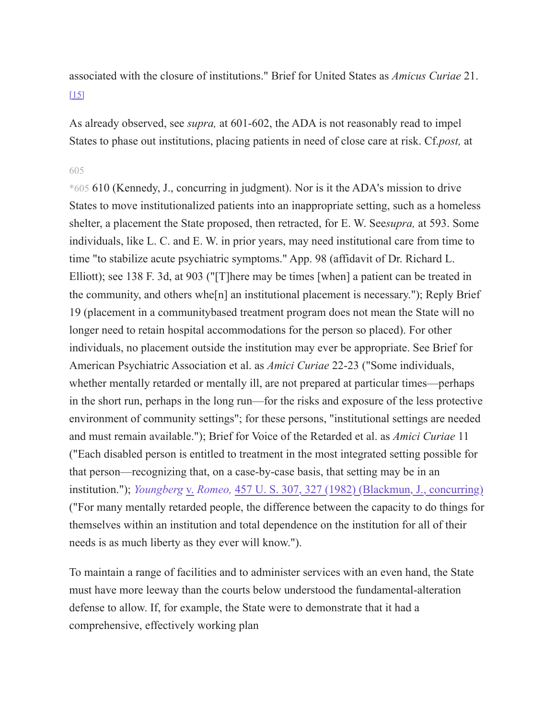associated with the closure of institutions." Brief for United States as *Amicus Curiae* 21. [\[15\]](http://scholar.google.com/scholar_case?q=+Olmstead+v.+L.C.&hl=en&as_sdt=2,14&case=1057318245348059744&scilh=0#%5B16%5D)

As already observed, see *supra,* at 601-602, the ADA is not reasonably read to impel States to phase out institutions, placing patients in need of close care at risk. Cf.*post,* at

#### 605

\*605 610 (Kennedy, J., concurring in judgment). Nor is it the ADA's mission to drive States to move institutionalized patients into an inappropriate setting, such as a homeless shelter, a placement the State proposed, then retracted, for E. W. See*supra,* at 593. Some individuals, like L. C. and E. W. in prior years, may need institutional care from time to time "to stabilize acute psychiatric symptoms." App. 98 (affidavit of Dr. Richard L. Elliott); see 138 F. 3d, at 903 ("[T]here may be times [when] a patient can be treated in the community, and others whe[n] an institutional placement is necessary."); Reply Brief 19 (placement in a communitybased treatment program does not mean the State will no longer need to retain hospital accommodations for the person so placed). For other individuals, no placement outside the institution may ever be appropriate. See Brief for American Psychiatric Association et al. as *Amici Curiae* 22-23 ("Some individuals, whether mentally retarded or mentally ill, are not prepared at particular times—perhaps in the short run, perhaps in the long run—for the risks and exposure of the less protective environment of community settings"; for these persons, "institutional settings are needed and must remain available."); Brief for Voice of the Retarded et al. as *Amici Curiae* 11 ("Each disabled person is entitled to treatment in the most integrated setting possible for that person—recognizing that, on a case-by-case basis, that setting may be in an institution."); *[Youngberg](http://scholar.google.com/scholar_case?case=7713558129166322035&q=+Olmstead+v.+L.C.&hl=en&as_sdt=2,14&scilh=0)* [v.](http://scholar.google.com/scholar_case?case=7713558129166322035&q=+Olmstead+v.+L.C.&hl=en&as_sdt=2,14&scilh=0) *[Romeo,](http://scholar.google.com/scholar_case?case=7713558129166322035&q=+Olmstead+v.+L.C.&hl=en&as_sdt=2,14&scilh=0)* [457 U. S. 307, 327 \(1982\) \(Blackmun, J., concurring\)](http://scholar.google.com/scholar_case?case=7713558129166322035&q=+Olmstead+v.+L.C.&hl=en&as_sdt=2,14&scilh=0) ("For many mentally retarded people, the difference between the capacity to do things for themselves within an institution and total dependence on the institution for all of their needs is as much liberty as they ever will know.").

To maintain a range of facilities and to administer services with an even hand, the State must have more leeway than the courts below understood the fundamental-alteration defense to allow. If, for example, the State were to demonstrate that it had a comprehensive, effectively working plan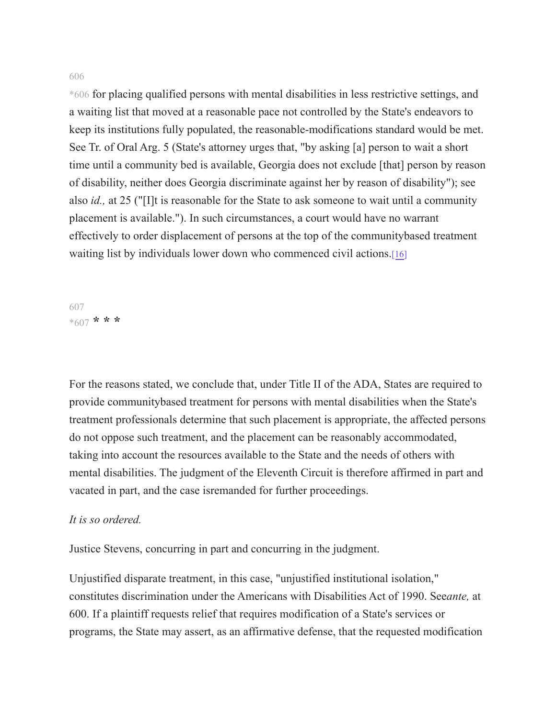\*606 for placing qualified persons with mental disabilities in less restrictive settings, and a waiting list that moved at a reasonable pace not controlled by the State's endeavors to keep its institutions fully populated, the reasonable-modifications standard would be met. See Tr. of Oral Arg. 5 (State's attorney urges that, "by asking [a] person to wait a short time until a community bed is available, Georgia does not exclude [that] person by reason of disability, neither does Georgia discriminate against her by reason of disability"); see also *id.,* at 25 ("[I]t is reasonable for the State to ask someone to wait until a community placement is available."). In such circumstances, a court would have no warrant effectively to order displacement of persons at the top of the communitybased treatment waiting list by individuals lower down who commenced civil actions[.\[16\]](http://scholar.google.com/scholar_case?q=+Olmstead+v.+L.C.&hl=en&as_sdt=2,14&case=1057318245348059744&scilh=0#%5B17%5D)

607 \*607 **\* \* \***

For the reasons stated, we conclude that, under Title II of the ADA, States are required to provide communitybased treatment for persons with mental disabilities when the State's treatment professionals determine that such placement is appropriate, the affected persons do not oppose such treatment, and the placement can be reasonably accommodated, taking into account the resources available to the State and the needs of others with mental disabilities. The judgment of the Eleventh Circuit is therefore affirmed in part and vacated in part, and the case isremanded for further proceedings.

#### *It is so ordered.*

Justice Stevens, concurring in part and concurring in the judgment.

Unjustified disparate treatment, in this case, "unjustified institutional isolation," constitutes discrimination under the Americans with Disabilities Act of 1990. See*ante,* at 600. If a plaintiff requests relief that requires modification of a State's services or programs, the State may assert, as an affirmative defense, that the requested modification

606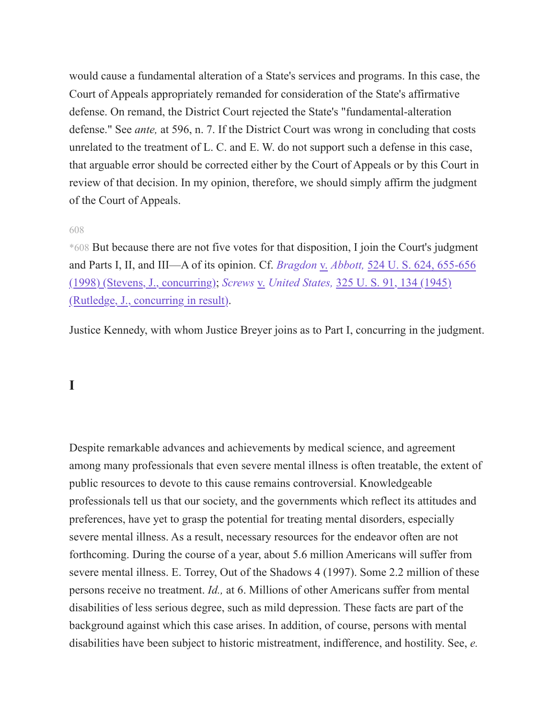would cause a fundamental alteration of a State's services and programs. In this case, the Court of Appeals appropriately remanded for consideration of the State's affirmative defense. On remand, the District Court rejected the State's "fundamental-alteration defense." See *ante,* at 596, n. 7. If the District Court was wrong in concluding that costs unrelated to the treatment of L. C. and E. W. do not support such a defense in this case, that arguable error should be corrected either by the Court of Appeals or by this Court in review of that decision. In my opinion, therefore, we should simply affirm the judgment of the Court of Appeals.

#### 608

\*608 But because there are not five votes for that disposition, I join the Court's judgment and Parts I, II, and III—A of its opinion. Cf. *[Bragdon](http://scholar.google.com/scholar_case?case=11295524924367699420&q=+Olmstead+v.+L.C.&hl=en&as_sdt=2,14&scilh=0)* [v.](http://scholar.google.com/scholar_case?case=11295524924367699420&q=+Olmstead+v.+L.C.&hl=en&as_sdt=2,14&scilh=0) *[Abbott,](http://scholar.google.com/scholar_case?case=11295524924367699420&q=+Olmstead+v.+L.C.&hl=en&as_sdt=2,14&scilh=0)* [524 U. S. 624, 655-656](http://scholar.google.com/scholar_case?case=11295524924367699420&q=+Olmstead+v.+L.C.&hl=en&as_sdt=2,14&scilh=0)  [\(1998\) \(Stevens, J., concurring\);](http://scholar.google.com/scholar_case?case=11295524924367699420&q=+Olmstead+v.+L.C.&hl=en&as_sdt=2,14&scilh=0) *[Screws](http://scholar.google.com/scholar_case?case=12510054663270489425&q=+Olmstead+v.+L.C.&hl=en&as_sdt=2,14&scilh=0)* [v.](http://scholar.google.com/scholar_case?case=12510054663270489425&q=+Olmstead+v.+L.C.&hl=en&as_sdt=2,14&scilh=0) *[United States,](http://scholar.google.com/scholar_case?case=12510054663270489425&q=+Olmstead+v.+L.C.&hl=en&as_sdt=2,14&scilh=0)* [325 U. S. 91, 134 \(1945\)](http://scholar.google.com/scholar_case?case=12510054663270489425&q=+Olmstead+v.+L.C.&hl=en&as_sdt=2,14&scilh=0)  [\(Rutledge, J., concurring in result\).](http://scholar.google.com/scholar_case?case=12510054663270489425&q=+Olmstead+v.+L.C.&hl=en&as_sdt=2,14&scilh=0)

Justice Kennedy, with whom Justice Breyer joins as to Part I, concurring in the judgment.

# **I**

Despite remarkable advances and achievements by medical science, and agreement among many professionals that even severe mental illness is often treatable, the extent of public resources to devote to this cause remains controversial. Knowledgeable professionals tell us that our society, and the governments which reflect its attitudes and preferences, have yet to grasp the potential for treating mental disorders, especially severe mental illness. As a result, necessary resources for the endeavor often are not forthcoming. During the course of a year, about 5.6 million Americans will suffer from severe mental illness. E. Torrey, Out of the Shadows 4 (1997). Some 2.2 million of these persons receive no treatment. *Id.,* at 6. Millions of other Americans suffer from mental disabilities of less serious degree, such as mild depression. These facts are part of the background against which this case arises. In addition, of course, persons with mental disabilities have been subject to historic mistreatment, indifference, and hostility. See, *e.*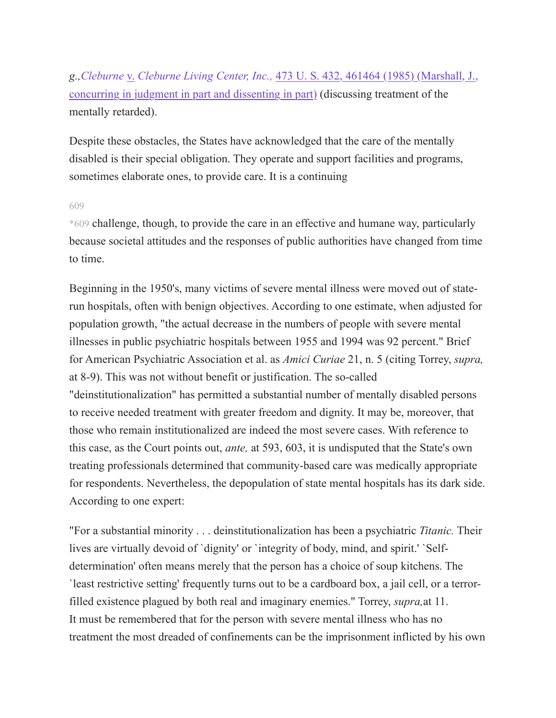*g.[,Cleburne](http://scholar.google.com/scholar_case?case=5414073463989452198&q=+Olmstead+v.+L.C.&hl=en&as_sdt=2,14&scilh=0)* [v.](http://scholar.google.com/scholar_case?case=5414073463989452198&q=+Olmstead+v.+L.C.&hl=en&as_sdt=2,14&scilh=0) *[Cleburne Living Center, Inc.,](http://scholar.google.com/scholar_case?case=5414073463989452198&q=+Olmstead+v.+L.C.&hl=en&as_sdt=2,14&scilh=0)* [473 U. S. 432, 461464 \(1985\) \(Marshall, J.,](http://scholar.google.com/scholar_case?case=5414073463989452198&q=+Olmstead+v.+L.C.&hl=en&as_sdt=2,14&scilh=0)  [concurring in judgment in part and dissenting in part\)](http://scholar.google.com/scholar_case?case=5414073463989452198&q=+Olmstead+v.+L.C.&hl=en&as_sdt=2,14&scilh=0) (discussing treatment of the mentally retarded).

Despite these obstacles, the States have acknowledged that the care of the mentally disabled is their special obligation. They operate and support facilities and programs, sometimes elaborate ones, to provide care. It is a continuing

#### 609

\*609 challenge, though, to provide the care in an effective and humane way, particularly because societal attitudes and the responses of public authorities have changed from time to time.

Beginning in the 1950's, many victims of severe mental illness were moved out of staterun hospitals, often with benign objectives. According to one estimate, when adjusted for population growth, "the actual decrease in the numbers of people with severe mental illnesses in public psychiatric hospitals between 1955 and 1994 was 92 percent." Brief for American Psychiatric Association et al. as *Amici Curiae* 21, n. 5 (citing Torrey, *supra,* at 8-9). This was not without benefit or justification. The so-called "deinstitutionalization" has permitted a substantial number of mentally disabled persons to receive needed treatment with greater freedom and dignity. It may be, moreover, that those who remain institutionalized are indeed the most severe cases. With reference to this case, as the Court points out, *ante,* at 593, 603, it is undisputed that the State's own treating professionals determined that community-based care was medically appropriate for respondents. Nevertheless, the depopulation of state mental hospitals has its dark side. According to one expert:

"For a substantial minority . . . deinstitutionalization has been a psychiatric *Titanic.* Their lives are virtually devoid of `dignity' or `integrity of body, mind, and spirit.' `Selfdetermination' often means merely that the person has a choice of soup kitchens. The `least restrictive setting' frequently turns out to be a cardboard box, a jail cell, or a terrorfilled existence plagued by both real and imaginary enemies." Torrey, *supra,*at 11. It must be remembered that for the person with severe mental illness who has no treatment the most dreaded of confinements can be the imprisonment inflicted by his own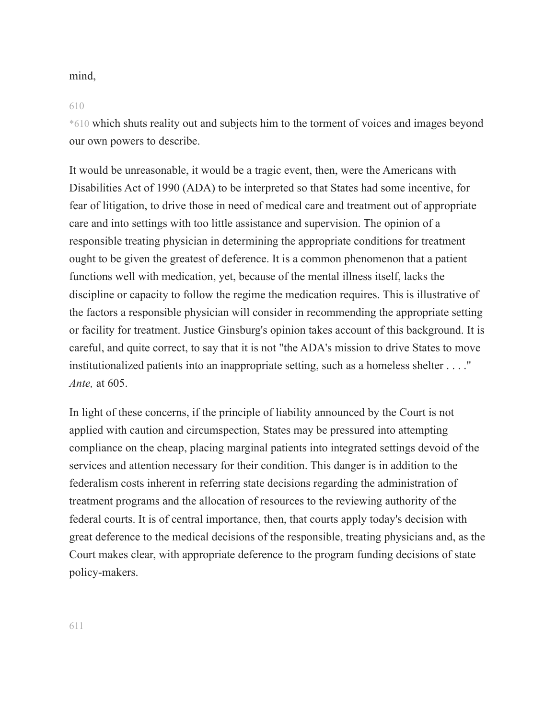### mind,

#### 610

\*610 which shuts reality out and subjects him to the torment of voices and images beyond our own powers to describe.

It would be unreasonable, it would be a tragic event, then, were the Americans with Disabilities Act of 1990 (ADA) to be interpreted so that States had some incentive, for fear of litigation, to drive those in need of medical care and treatment out of appropriate care and into settings with too little assistance and supervision. The opinion of a responsible treating physician in determining the appropriate conditions for treatment ought to be given the greatest of deference. It is a common phenomenon that a patient functions well with medication, yet, because of the mental illness itself, lacks the discipline or capacity to follow the regime the medication requires. This is illustrative of the factors a responsible physician will consider in recommending the appropriate setting or facility for treatment. Justice Ginsburg's opinion takes account of this background. It is careful, and quite correct, to say that it is not "the ADA's mission to drive States to move institutionalized patients into an inappropriate setting, such as a homeless shelter . . . ." *Ante,* at 605.

In light of these concerns, if the principle of liability announced by the Court is not applied with caution and circumspection, States may be pressured into attempting compliance on the cheap, placing marginal patients into integrated settings devoid of the services and attention necessary for their condition. This danger is in addition to the federalism costs inherent in referring state decisions regarding the administration of treatment programs and the allocation of resources to the reviewing authority of the federal courts. It is of central importance, then, that courts apply today's decision with great deference to the medical decisions of the responsible, treating physicians and, as the Court makes clear, with appropriate deference to the program funding decisions of state policy-makers.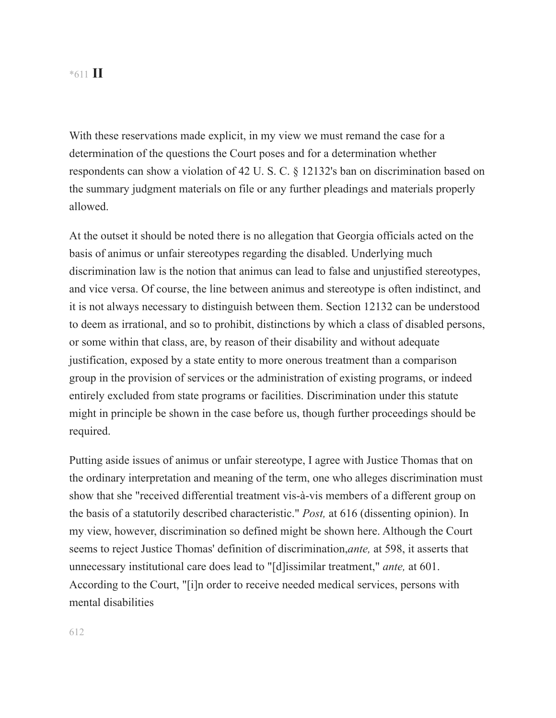\*611 **II**

With these reservations made explicit, in my view we must remand the case for a determination of the questions the Court poses and for a determination whether respondents can show a violation of 42 U. S. C. § 12132's ban on discrimination based on the summary judgment materials on file or any further pleadings and materials properly allowed.

At the outset it should be noted there is no allegation that Georgia officials acted on the basis of animus or unfair stereotypes regarding the disabled. Underlying much discrimination law is the notion that animus can lead to false and unjustified stereotypes, and vice versa. Of course, the line between animus and stereotype is often indistinct, and it is not always necessary to distinguish between them. Section 12132 can be understood to deem as irrational, and so to prohibit, distinctions by which a class of disabled persons, or some within that class, are, by reason of their disability and without adequate justification, exposed by a state entity to more onerous treatment than a comparison group in the provision of services or the administration of existing programs, or indeed entirely excluded from state programs or facilities. Discrimination under this statute might in principle be shown in the case before us, though further proceedings should be required.

Putting aside issues of animus or unfair stereotype, I agree with Justice Thomas that on the ordinary interpretation and meaning of the term, one who alleges discrimination must show that she "received differential treatment vis-à-vis members of a different group on the basis of a statutorily described characteristic." *Post,* at 616 (dissenting opinion). In my view, however, discrimination so defined might be shown here. Although the Court seems to reject Justice Thomas' definition of discrimination,*ante,* at 598, it asserts that unnecessary institutional care does lead to "[d]issimilar treatment," *ante,* at 601. According to the Court, "[i]n order to receive needed medical services, persons with mental disabilities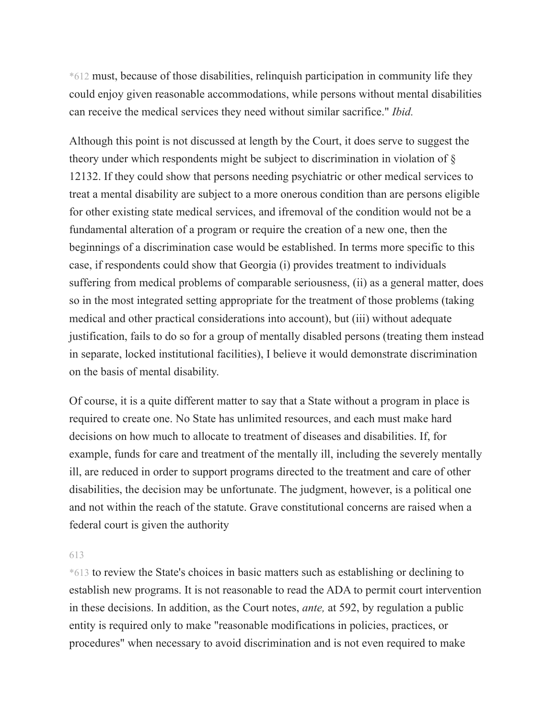\*612 must, because of those disabilities, relinquish participation in community life they could enjoy given reasonable accommodations, while persons without mental disabilities can receive the medical services they need without similar sacrifice." *Ibid.*

Although this point is not discussed at length by the Court, it does serve to suggest the theory under which respondents might be subject to discrimination in violation of § 12132. If they could show that persons needing psychiatric or other medical services to treat a mental disability are subject to a more onerous condition than are persons eligible for other existing state medical services, and ifremoval of the condition would not be a fundamental alteration of a program or require the creation of a new one, then the beginnings of a discrimination case would be established. In terms more specific to this case, if respondents could show that Georgia (i) provides treatment to individuals suffering from medical problems of comparable seriousness, (ii) as a general matter, does so in the most integrated setting appropriate for the treatment of those problems (taking medical and other practical considerations into account), but (iii) without adequate justification, fails to do so for a group of mentally disabled persons (treating them instead in separate, locked institutional facilities), I believe it would demonstrate discrimination on the basis of mental disability.

Of course, it is a quite different matter to say that a State without a program in place is required to create one. No State has unlimited resources, and each must make hard decisions on how much to allocate to treatment of diseases and disabilities. If, for example, funds for care and treatment of the mentally ill, including the severely mentally ill, are reduced in order to support programs directed to the treatment and care of other disabilities, the decision may be unfortunate. The judgment, however, is a political one and not within the reach of the statute. Grave constitutional concerns are raised when a federal court is given the authority

#### 613

\*613 to review the State's choices in basic matters such as establishing or declining to establish new programs. It is not reasonable to read the ADA to permit court intervention in these decisions. In addition, as the Court notes, *ante,* at 592, by regulation a public entity is required only to make "reasonable modifications in policies, practices, or procedures" when necessary to avoid discrimination and is not even required to make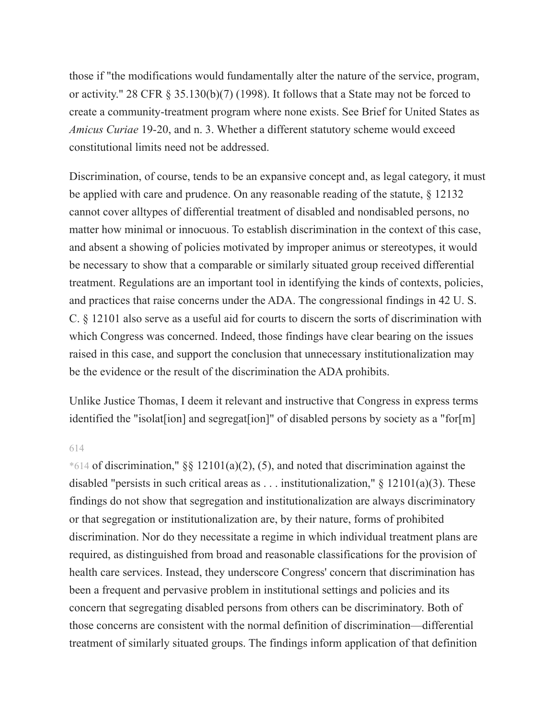those if "the modifications would fundamentally alter the nature of the service, program, or activity." 28 CFR § 35.130(b)(7) (1998). It follows that a State may not be forced to create a community-treatment program where none exists. See Brief for United States as *Amicus Curiae* 19-20, and n. 3. Whether a different statutory scheme would exceed constitutional limits need not be addressed.

Discrimination, of course, tends to be an expansive concept and, as legal category, it must be applied with care and prudence. On any reasonable reading of the statute, § 12132 cannot cover alltypes of differential treatment of disabled and nondisabled persons, no matter how minimal or innocuous. To establish discrimination in the context of this case, and absent a showing of policies motivated by improper animus or stereotypes, it would be necessary to show that a comparable or similarly situated group received differential treatment. Regulations are an important tool in identifying the kinds of contexts, policies, and practices that raise concerns under the ADA. The congressional findings in 42 U. S. C. § 12101 also serve as a useful aid for courts to discern the sorts of discrimination with which Congress was concerned. Indeed, those findings have clear bearing on the issues raised in this case, and support the conclusion that unnecessary institutionalization may be the evidence or the result of the discrimination the ADA prohibits.

Unlike Justice Thomas, I deem it relevant and instructive that Congress in express terms identified the "isolat [ion] and segregat [ion]" of disabled persons by society as a "for [m]

#### 614

\*614 of discrimination,"  $\S$  12101(a)(2), (5), and noted that discrimination against the disabled "persists in such critical areas as . . . institutionalization,"  $\S$  12101(a)(3). These findings do not show that segregation and institutionalization are always discriminatory or that segregation or institutionalization are, by their nature, forms of prohibited discrimination. Nor do they necessitate a regime in which individual treatment plans are required, as distinguished from broad and reasonable classifications for the provision of health care services. Instead, they underscore Congress' concern that discrimination has been a frequent and pervasive problem in institutional settings and policies and its concern that segregating disabled persons from others can be discriminatory. Both of those concerns are consistent with the normal definition of discrimination—differential treatment of similarly situated groups. The findings inform application of that definition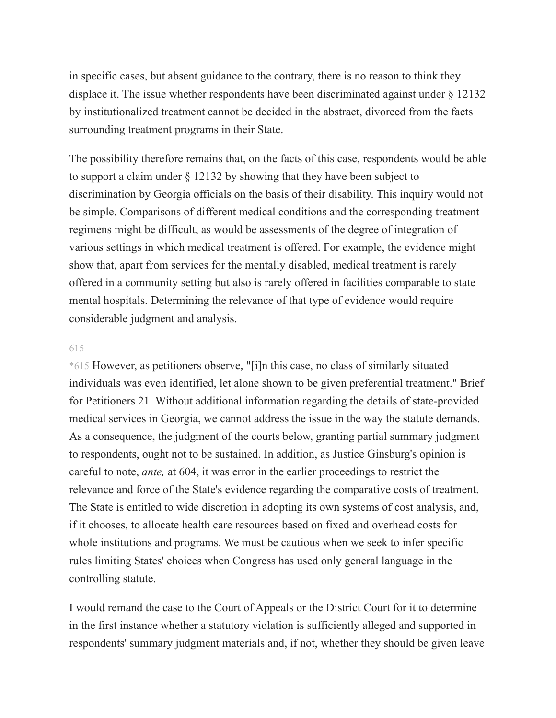in specific cases, but absent guidance to the contrary, there is no reason to think they displace it. The issue whether respondents have been discriminated against under § 12132 by institutionalized treatment cannot be decided in the abstract, divorced from the facts surrounding treatment programs in their State.

The possibility therefore remains that, on the facts of this case, respondents would be able to support a claim under § 12132 by showing that they have been subject to discrimination by Georgia officials on the basis of their disability. This inquiry would not be simple. Comparisons of different medical conditions and the corresponding treatment regimens might be difficult, as would be assessments of the degree of integration of various settings in which medical treatment is offered. For example, the evidence might show that, apart from services for the mentally disabled, medical treatment is rarely offered in a community setting but also is rarely offered in facilities comparable to state mental hospitals. Determining the relevance of that type of evidence would require considerable judgment and analysis.

#### 615

\*615 However, as petitioners observe, "[i]n this case, no class of similarly situated individuals was even identified, let alone shown to be given preferential treatment." Brief for Petitioners 21. Without additional information regarding the details of state-provided medical services in Georgia, we cannot address the issue in the way the statute demands. As a consequence, the judgment of the courts below, granting partial summary judgment to respondents, ought not to be sustained. In addition, as Justice Ginsburg's opinion is careful to note, *ante,* at 604, it was error in the earlier proceedings to restrict the relevance and force of the State's evidence regarding the comparative costs of treatment. The State is entitled to wide discretion in adopting its own systems of cost analysis, and, if it chooses, to allocate health care resources based on fixed and overhead costs for whole institutions and programs. We must be cautious when we seek to infer specific rules limiting States' choices when Congress has used only general language in the controlling statute.

I would remand the case to the Court of Appeals or the District Court for it to determine in the first instance whether a statutory violation is sufficiently alleged and supported in respondents' summary judgment materials and, if not, whether they should be given leave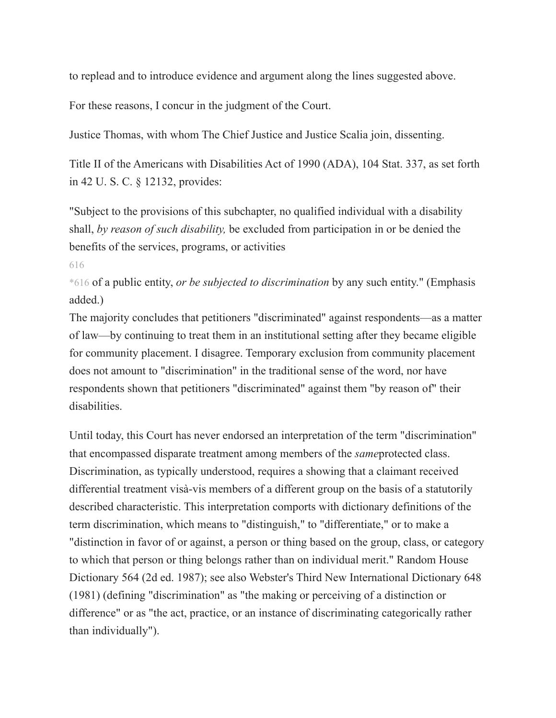to replead and to introduce evidence and argument along the lines suggested above.

For these reasons, I concur in the judgment of the Court.

Justice Thomas, with whom The Chief Justice and Justice Scalia join, dissenting.

Title II of the Americans with Disabilities Act of 1990 (ADA), 104 Stat. 337, as set forth in 42 U. S. C. § 12132, provides:

"Subject to the provisions of this subchapter, no qualified individual with a disability shall, *by reason of such disability,* be excluded from participation in or be denied the benefits of the services, programs, or activities

616

\*616 of a public entity, *or be subjected to discrimination* by any such entity." (Emphasis added.)

The majority concludes that petitioners "discriminated" against respondents—as a matter of law—by continuing to treat them in an institutional setting after they became eligible for community placement. I disagree. Temporary exclusion from community placement does not amount to "discrimination" in the traditional sense of the word, nor have respondents shown that petitioners "discriminated" against them "by reason of" their disabilities.

Until today, this Court has never endorsed an interpretation of the term "discrimination" that encompassed disparate treatment among members of the *same*protected class. Discrimination, as typically understood, requires a showing that a claimant received differential treatment visà-vis members of a different group on the basis of a statutorily described characteristic. This interpretation comports with dictionary definitions of the term discrimination, which means to "distinguish," to "differentiate," or to make a "distinction in favor of or against, a person or thing based on the group, class, or category to which that person or thing belongs rather than on individual merit." Random House Dictionary 564 (2d ed. 1987); see also Webster's Third New International Dictionary 648 (1981) (defining "discrimination" as "the making or perceiving of a distinction or difference" or as "the act, practice, or an instance of discriminating categorically rather than individually").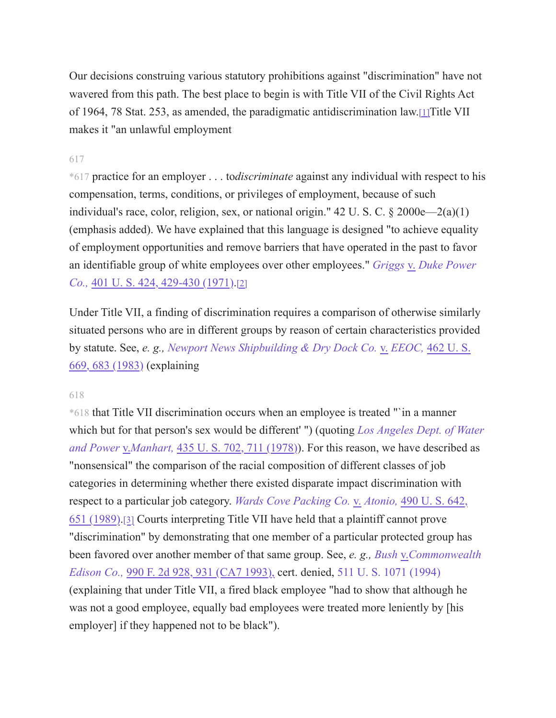Our decisions construing various statutory prohibitions against "discrimination" have not wavered from this path. The best place to begin is with Title VII of the Civil Rights Act of 1964, 78 Stat. 253, as amended, the paradigmatic antidiscrimination law[.\[1\]](http://scholar.google.com/scholar_case?q=+Olmstead+v.+L.C.&hl=en&as_sdt=2,14&case=1057318245348059744&scilh=0#%5B18%5D)Title VII makes it "an unlawful employment

#### 617

\*617 practice for an employer . . . to*discriminate* against any individual with respect to his compensation, terms, conditions, or privileges of employment, because of such individual's race, color, religion, sex, or national origin." 42 U. S. C. § 2000e—2(a)(1) (emphasis added). We have explained that this language is designed "to achieve equality of employment opportunities and remove barriers that have operated in the past to favor an identifiable group of white employees over other employees." *[Griggs](http://scholar.google.com/scholar_case?case=8655598674229196978&q=+Olmstead+v.+L.C.&hl=en&as_sdt=2,14&scilh=0)* [v.](http://scholar.google.com/scholar_case?case=8655598674229196978&q=+Olmstead+v.+L.C.&hl=en&as_sdt=2,14&scilh=0) *[Duke Power](http://scholar.google.com/scholar_case?case=8655598674229196978&q=+Olmstead+v.+L.C.&hl=en&as_sdt=2,14&scilh=0)  [Co.,](http://scholar.google.com/scholar_case?case=8655598674229196978&q=+Olmstead+v.+L.C.&hl=en&as_sdt=2,14&scilh=0)* [401 U. S. 424, 429-430 \(1971\)](http://scholar.google.com/scholar_case?case=8655598674229196978&q=+Olmstead+v.+L.C.&hl=en&as_sdt=2,14&scilh=0).[\[2\]](http://scholar.google.com/scholar_case?q=+Olmstead+v.+L.C.&hl=en&as_sdt=2,14&case=1057318245348059744&scilh=0#%5B19%5D)

Under Title VII, a finding of discrimination requires a comparison of otherwise similarly situated persons who are in different groups by reason of certain characteristics provided by statute. See, *e. g., [Newport News Shipbuilding & Dry Dock Co.](http://scholar.google.com/scholar_case?case=6977954238570101328&q=+Olmstead+v.+L.C.&hl=en&as_sdt=2,14&scilh=0)* [v.](http://scholar.google.com/scholar_case?case=6977954238570101328&q=+Olmstead+v.+L.C.&hl=en&as_sdt=2,14&scilh=0) *[EEOC,](http://scholar.google.com/scholar_case?case=6977954238570101328&q=+Olmstead+v.+L.C.&hl=en&as_sdt=2,14&scilh=0)* [462 U. S.](http://scholar.google.com/scholar_case?case=6977954238570101328&q=+Olmstead+v.+L.C.&hl=en&as_sdt=2,14&scilh=0)  [669, 683 \(1983\)](http://scholar.google.com/scholar_case?case=6977954238570101328&q=+Olmstead+v.+L.C.&hl=en&as_sdt=2,14&scilh=0) (explaining

#### 618

\*618 that Title VII discrimination occurs when an employee is treated "`in a manner which but for that person's sex would be different' ") (quoting *[Los Angeles Dept. of Water](http://scholar.google.com/scholar_case?case=10164337249526753874&q=+Olmstead+v.+L.C.&hl=en&as_sdt=2,14&scilh=0)  [and Power](http://scholar.google.com/scholar_case?case=10164337249526753874&q=+Olmstead+v.+L.C.&hl=en&as_sdt=2,14&scilh=0)* [v.](http://scholar.google.com/scholar_case?case=10164337249526753874&q=+Olmstead+v.+L.C.&hl=en&as_sdt=2,14&scilh=0)*[Manhart,](http://scholar.google.com/scholar_case?case=10164337249526753874&q=+Olmstead+v.+L.C.&hl=en&as_sdt=2,14&scilh=0)* [435 U. S. 702, 711 \(1978\)\)](http://scholar.google.com/scholar_case?case=10164337249526753874&q=+Olmstead+v.+L.C.&hl=en&as_sdt=2,14&scilh=0). For this reason, we have described as "nonsensical" the comparison of the racial composition of different classes of job categories in determining whether there existed disparate impact discrimination with respect to a particular job category. *[Wards Cove Packing Co.](http://scholar.google.com/scholar_case?case=4023771275110948829&q=+Olmstead+v.+L.C.&hl=en&as_sdt=2,14&scilh=0)* [v.](http://scholar.google.com/scholar_case?case=4023771275110948829&q=+Olmstead+v.+L.C.&hl=en&as_sdt=2,14&scilh=0) *[Atonio,](http://scholar.google.com/scholar_case?case=4023771275110948829&q=+Olmstead+v.+L.C.&hl=en&as_sdt=2,14&scilh=0)* [490 U. S. 642,](http://scholar.google.com/scholar_case?case=4023771275110948829&q=+Olmstead+v.+L.C.&hl=en&as_sdt=2,14&scilh=0)  [651 \(1989\).](http://scholar.google.com/scholar_case?case=4023771275110948829&q=+Olmstead+v.+L.C.&hl=en&as_sdt=2,14&scilh=0)[\[3\]](http://scholar.google.com/scholar_case?q=+Olmstead+v.+L.C.&hl=en&as_sdt=2,14&case=1057318245348059744&scilh=0#%5B20%5D) Courts interpreting Title VII have held that a plaintiff cannot prove "discrimination" by demonstrating that one member of a particular protected group has been favored over another member of that same group. See, *e. g., [Bush](http://scholar.google.com/scholar_case?case=11380576755385110109&q=+Olmstead+v.+L.C.&hl=en&as_sdt=2,14&scilh=0)* [v.](http://scholar.google.com/scholar_case?case=11380576755385110109&q=+Olmstead+v.+L.C.&hl=en&as_sdt=2,14&scilh=0)*[Commonwealth](http://scholar.google.com/scholar_case?case=11380576755385110109&q=+Olmstead+v.+L.C.&hl=en&as_sdt=2,14&scilh=0)  [Edison Co.,](http://scholar.google.com/scholar_case?case=11380576755385110109&q=+Olmstead+v.+L.C.&hl=en&as_sdt=2,14&scilh=0)* [990 F. 2d 928, 931 \(CA7 1993\),](http://scholar.google.com/scholar_case?case=11380576755385110109&q=+Olmstead+v.+L.C.&hl=en&as_sdt=2,14&scilh=0) cert. denied, [511 U. S. 1071 \(1994\)](http://scholar.google.com/scholar_case?about=14671088772239666849&q=+Olmstead+v.+L.C.&hl=en&as_sdt=2,14&scilh=0) (explaining that under Title VII, a fired black employee "had to show that although he was not a good employee, equally bad employees were treated more leniently by [his employer] if they happened not to be black").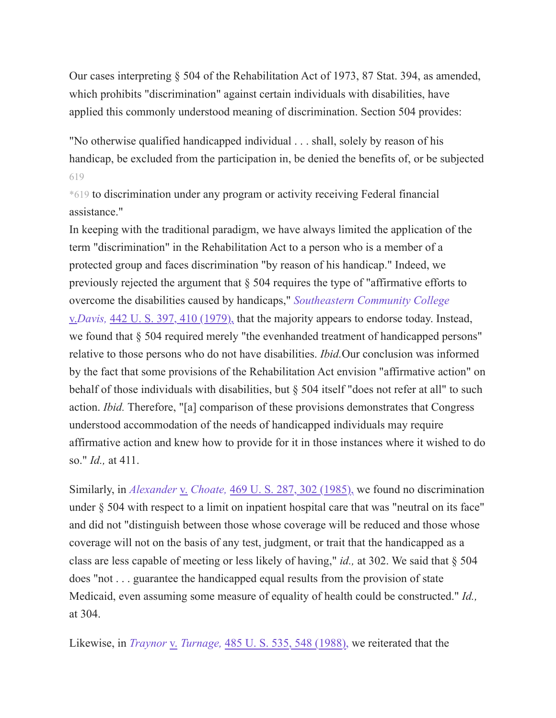Our cases interpreting § 504 of the Rehabilitation Act of 1973, 87 Stat. 394, as amended, which prohibits "discrimination" against certain individuals with disabilities, have applied this commonly understood meaning of discrimination. Section 504 provides:

"No otherwise qualified handicapped individual . . . shall, solely by reason of his handicap, be excluded from the participation in, be denied the benefits of, or be subjected 619

\*619 to discrimination under any program or activity receiving Federal financial assistance."

In keeping with the traditional paradigm, we have always limited the application of the term "discrimination" in the Rehabilitation Act to a person who is a member of a protected group and faces discrimination "by reason of his handicap." Indeed, we previously rejected the argument that § 504 requires the type of "affirmative efforts to overcome the disabilities caused by handicaps," *[Southeastern Community College](http://scholar.google.com/scholar_case?case=15117215513508737370&q=+Olmstead+v.+L.C.&hl=en&as_sdt=2,14&scilh=0)* [v.](http://scholar.google.com/scholar_case?case=15117215513508737370&q=+Olmstead+v.+L.C.&hl=en&as_sdt=2,14&scilh=0)*[Davis,](http://scholar.google.com/scholar_case?case=15117215513508737370&q=+Olmstead+v.+L.C.&hl=en&as_sdt=2,14&scilh=0)* [442 U. S. 397, 410 \(1979\),](http://scholar.google.com/scholar_case?case=15117215513508737370&q=+Olmstead+v.+L.C.&hl=en&as_sdt=2,14&scilh=0) that the majority appears to endorse today. Instead, we found that § 504 required merely "the evenhanded treatment of handicapped persons" relative to those persons who do not have disabilities. *Ibid.*Our conclusion was informed by the fact that some provisions of the Rehabilitation Act envision "affirmative action" on behalf of those individuals with disabilities, but § 504 itself "does not refer at all" to such action. *Ibid.* Therefore, "[a] comparison of these provisions demonstrates that Congress understood accommodation of the needs of handicapped individuals may require affirmative action and knew how to provide for it in those instances where it wished to do so." *Id.,* at 411.

Similarly, in *[Alexander](http://scholar.google.com/scholar_case?case=659122674909970890&q=+Olmstead+v.+L.C.&hl=en&as_sdt=2,14&scilh=0)* [v.](http://scholar.google.com/scholar_case?case=659122674909970890&q=+Olmstead+v.+L.C.&hl=en&as_sdt=2,14&scilh=0) *[Choate,](http://scholar.google.com/scholar_case?case=659122674909970890&q=+Olmstead+v.+L.C.&hl=en&as_sdt=2,14&scilh=0)* [469 U. S. 287, 302 \(1985\),](http://scholar.google.com/scholar_case?case=659122674909970890&q=+Olmstead+v.+L.C.&hl=en&as_sdt=2,14&scilh=0) we found no discrimination under § 504 with respect to a limit on inpatient hospital care that was "neutral on its face" and did not "distinguish between those whose coverage will be reduced and those whose coverage will not on the basis of any test, judgment, or trait that the handicapped as a class are less capable of meeting or less likely of having," *id.,* at 302. We said that § 504 does "not . . . guarantee the handicapped equal results from the provision of state Medicaid, even assuming some measure of equality of health could be constructed." *Id.,* at 304.

Likewise, in *[Traynor](http://scholar.google.com/scholar_case?case=14459719514762143326&q=+Olmstead+v.+L.C.&hl=en&as_sdt=2,14&scilh=0)* [v.](http://scholar.google.com/scholar_case?case=14459719514762143326&q=+Olmstead+v.+L.C.&hl=en&as_sdt=2,14&scilh=0) *[Turnage,](http://scholar.google.com/scholar_case?case=14459719514762143326&q=+Olmstead+v.+L.C.&hl=en&as_sdt=2,14&scilh=0)* [485 U. S. 535, 548 \(1988\),](http://scholar.google.com/scholar_case?case=14459719514762143326&q=+Olmstead+v.+L.C.&hl=en&as_sdt=2,14&scilh=0) we reiterated that the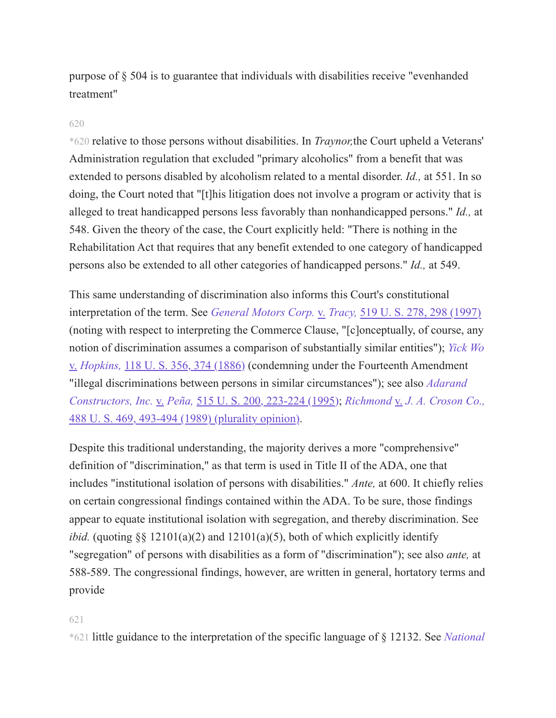purpose of § 504 is to guarantee that individuals with disabilities receive "evenhanded treatment"

#### 620

\*620 relative to those persons without disabilities. In *Traynor,*the Court upheld a Veterans' Administration regulation that excluded "primary alcoholics" from a benefit that was extended to persons disabled by alcoholism related to a mental disorder. *Id.,* at 551. In so doing, the Court noted that "[t]his litigation does not involve a program or activity that is alleged to treat handicapped persons less favorably than nonhandicapped persons." *Id.,* at 548. Given the theory of the case, the Court explicitly held: "There is nothing in the Rehabilitation Act that requires that any benefit extended to one category of handicapped persons also be extended to all other categories of handicapped persons." *Id.,* at 549.

This same understanding of discrimination also informs this Court's constitutional interpretation of the term. See *[General Motors Corp.](http://scholar.google.com/scholar_case?case=15433814773903509629&q=+Olmstead+v.+L.C.&hl=en&as_sdt=2,14&scilh=0)* [v.](http://scholar.google.com/scholar_case?case=15433814773903509629&q=+Olmstead+v.+L.C.&hl=en&as_sdt=2,14&scilh=0) *[Tracy,](http://scholar.google.com/scholar_case?case=15433814773903509629&q=+Olmstead+v.+L.C.&hl=en&as_sdt=2,14&scilh=0)* [519 U. S. 278, 298 \(1997\)](http://scholar.google.com/scholar_case?case=15433814773903509629&q=+Olmstead+v.+L.C.&hl=en&as_sdt=2,14&scilh=0) (noting with respect to interpreting the Commerce Clause, "[c]onceptually, of course, any notion of discrimination assumes a comparison of substantially similar entities"); *[Yick Wo](http://scholar.google.com/scholar_case?case=2131565438211553011&q=+Olmstead+v.+L.C.&hl=en&as_sdt=2,14&scilh=0)* [v.](http://scholar.google.com/scholar_case?case=2131565438211553011&q=+Olmstead+v.+L.C.&hl=en&as_sdt=2,14&scilh=0) *[Hopkins,](http://scholar.google.com/scholar_case?case=2131565438211553011&q=+Olmstead+v.+L.C.&hl=en&as_sdt=2,14&scilh=0)* [118 U. S. 356, 374 \(1886\)](http://scholar.google.com/scholar_case?case=2131565438211553011&q=+Olmstead+v.+L.C.&hl=en&as_sdt=2,14&scilh=0) (condemning under the Fourteenth Amendment "illegal discriminations between persons in similar circumstances"); see also *[Adarand](http://scholar.google.com/scholar_case?case=2147006255844490323&q=+Olmstead+v.+L.C.&hl=en&as_sdt=2,14&scilh=0)  [Constructors, Inc.](http://scholar.google.com/scholar_case?case=2147006255844490323&q=+Olmstead+v.+L.C.&hl=en&as_sdt=2,14&scilh=0)* [v.](http://scholar.google.com/scholar_case?case=2147006255844490323&q=+Olmstead+v.+L.C.&hl=en&as_sdt=2,14&scilh=0) *[Peña,](http://scholar.google.com/scholar_case?case=2147006255844490323&q=+Olmstead+v.+L.C.&hl=en&as_sdt=2,14&scilh=0)* [515 U. S. 200, 223-224 \(1995\)](http://scholar.google.com/scholar_case?case=2147006255844490323&q=+Olmstead+v.+L.C.&hl=en&as_sdt=2,14&scilh=0); *[Richmond](http://scholar.google.com/scholar_case?case=12652464934759819033&q=+Olmstead+v.+L.C.&hl=en&as_sdt=2,14&scilh=0)* [v.](http://scholar.google.com/scholar_case?case=12652464934759819033&q=+Olmstead+v.+L.C.&hl=en&as_sdt=2,14&scilh=0) *[J. A. Croson Co.,](http://scholar.google.com/scholar_case?case=12652464934759819033&q=+Olmstead+v.+L.C.&hl=en&as_sdt=2,14&scilh=0)* [488 U. S. 469, 493-494 \(1989\) \(plurality opinion\)](http://scholar.google.com/scholar_case?case=12652464934759819033&q=+Olmstead+v.+L.C.&hl=en&as_sdt=2,14&scilh=0).

Despite this traditional understanding, the majority derives a more "comprehensive" definition of "discrimination," as that term is used in Title II of the ADA, one that includes "institutional isolation of persons with disabilities." *Ante,* at 600. It chiefly relies on certain congressional findings contained within the ADA. To be sure, those findings appear to equate institutional isolation with segregation, and thereby discrimination. See *ibid.* (quoting  $\S$  12101(a)(2) and 12101(a)(5), both of which explicitly identify "segregation" of persons with disabilities as a form of "discrimination"); see also *ante,* at 588-589. The congressional findings, however, are written in general, hortatory terms and provide

621

\*621 little guidance to the interpretation of the specific language of § 12132. See *[National](http://scholar.google.com/scholar_case?case=8902680937613677100&q=+Olmstead+v.+L.C.&hl=en&as_sdt=2,14&scilh=0)*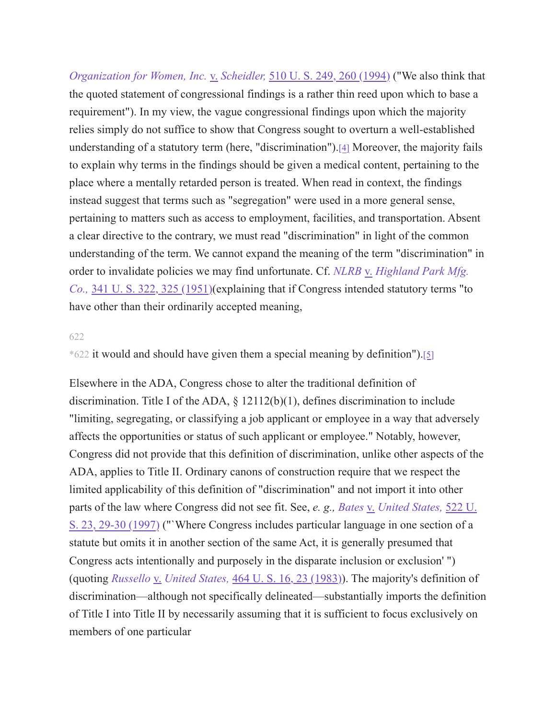*[Organization for Women, Inc.](http://scholar.google.com/scholar_case?case=8902680937613677100&q=+Olmstead+v.+L.C.&hl=en&as_sdt=2,14&scilh=0) [v.](http://scholar.google.com/scholar_case?case=8902680937613677100&q=+Olmstead+v.+L.C.&hl=en&as_sdt=2,14&scilh=0) [Scheidler,](http://scholar.google.com/scholar_case?case=8902680937613677100&q=+Olmstead+v.+L.C.&hl=en&as_sdt=2,14&scilh=0)* [510 U. S. 249, 260 \(1994\)](http://scholar.google.com/scholar_case?case=8902680937613677100&q=+Olmstead+v.+L.C.&hl=en&as_sdt=2,14&scilh=0) ("We also think that the quoted statement of congressional findings is a rather thin reed upon which to base a requirement"). In my view, the vague congressional findings upon which the majority relies simply do not suffice to show that Congress sought to overturn a well-established understanding of a statutory term (here, "discrimination")[.\[4\]](http://scholar.google.com/scholar_case?q=+Olmstead+v.+L.C.&hl=en&as_sdt=2,14&case=1057318245348059744&scilh=0#%5B21%5D) Moreover, the majority fails to explain why terms in the findings should be given a medical content, pertaining to the place where a mentally retarded person is treated. When read in context, the findings instead suggest that terms such as "segregation" were used in a more general sense, pertaining to matters such as access to employment, facilities, and transportation. Absent a clear directive to the contrary, we must read "discrimination" in light of the common understanding of the term. We cannot expand the meaning of the term "discrimination" in order to invalidate policies we may find unfortunate. Cf. *[NLRB](http://scholar.google.com/scholar_case?case=12832579919737170646&q=+Olmstead+v.+L.C.&hl=en&as_sdt=2,14&scilh=0)* [v.](http://scholar.google.com/scholar_case?case=12832579919737170646&q=+Olmstead+v.+L.C.&hl=en&as_sdt=2,14&scilh=0) *[Highland Park Mfg.](http://scholar.google.com/scholar_case?case=12832579919737170646&q=+Olmstead+v.+L.C.&hl=en&as_sdt=2,14&scilh=0)  [Co.,](http://scholar.google.com/scholar_case?case=12832579919737170646&q=+Olmstead+v.+L.C.&hl=en&as_sdt=2,14&scilh=0)* [341 U. S. 322, 325 \(1951\)](http://scholar.google.com/scholar_case?case=12832579919737170646&q=+Olmstead+v.+L.C.&hl=en&as_sdt=2,14&scilh=0)(explaining that if Congress intended statutory terms "to have other than their ordinarily accepted meaning,

#### 622

\*622 it would and should have given them a special meaning by definition")[.\[5\]](http://scholar.google.com/scholar_case?q=+Olmstead+v.+L.C.&hl=en&as_sdt=2,14&case=1057318245348059744&scilh=0#%5B22%5D)

Elsewhere in the ADA, Congress chose to alter the traditional definition of discrimination. Title I of the ADA, § 12112(b)(1), defines discrimination to include "limiting, segregating, or classifying a job applicant or employee in a way that adversely affects the opportunities or status of such applicant or employee." Notably, however, Congress did not provide that this definition of discrimination, unlike other aspects of the ADA, applies to Title II. Ordinary canons of construction require that we respect the limited applicability of this definition of "discrimination" and not import it into other parts of the law where Congress did not see fit. See, *e. g., [Bates](http://scholar.google.com/scholar_case?case=3777869797477971016&q=+Olmstead+v.+L.C.&hl=en&as_sdt=2,14&scilh=0)* [v.](http://scholar.google.com/scholar_case?case=3777869797477971016&q=+Olmstead+v.+L.C.&hl=en&as_sdt=2,14&scilh=0) *[United States,](http://scholar.google.com/scholar_case?case=3777869797477971016&q=+Olmstead+v.+L.C.&hl=en&as_sdt=2,14&scilh=0)* [522 U.](http://scholar.google.com/scholar_case?case=3777869797477971016&q=+Olmstead+v.+L.C.&hl=en&as_sdt=2,14&scilh=0)  [S. 23, 29-30 \(1997\)](http://scholar.google.com/scholar_case?case=3777869797477971016&q=+Olmstead+v.+L.C.&hl=en&as_sdt=2,14&scilh=0) ("`Where Congress includes particular language in one section of a statute but omits it in another section of the same Act, it is generally presumed that Congress acts intentionally and purposely in the disparate inclusion or exclusion' ") (quoting *[Russello](http://scholar.google.com/scholar_case?case=3958155902896689467&q=+Olmstead+v.+L.C.&hl=en&as_sdt=2,14&scilh=0)* [v.](http://scholar.google.com/scholar_case?case=3958155902896689467&q=+Olmstead+v.+L.C.&hl=en&as_sdt=2,14&scilh=0) *[United States,](http://scholar.google.com/scholar_case?case=3958155902896689467&q=+Olmstead+v.+L.C.&hl=en&as_sdt=2,14&scilh=0)* [464 U. S. 16, 23 \(1983\)](http://scholar.google.com/scholar_case?case=3958155902896689467&q=+Olmstead+v.+L.C.&hl=en&as_sdt=2,14&scilh=0)). The majority's definition of discrimination—although not specifically delineated—substantially imports the definition of Title I into Title II by necessarily assuming that it is sufficient to focus exclusively on members of one particular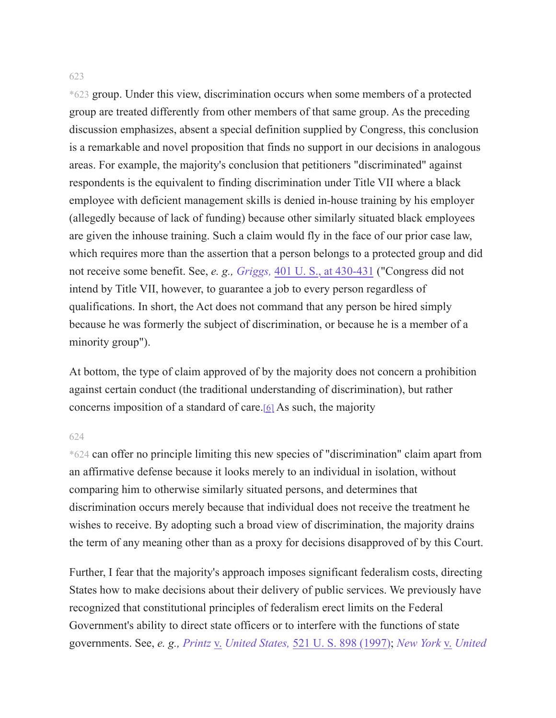#### 623

\*623 group. Under this view, discrimination occurs when some members of a protected group are treated differently from other members of that same group. As the preceding discussion emphasizes, absent a special definition supplied by Congress, this conclusion is a remarkable and novel proposition that finds no support in our decisions in analogous areas. For example, the majority's conclusion that petitioners "discriminated" against respondents is the equivalent to finding discrimination under Title VII where a black employee with deficient management skills is denied in-house training by his employer (allegedly because of lack of funding) because other similarly situated black employees are given the inhouse training. Such a claim would fly in the face of our prior case law, which requires more than the assertion that a person belongs to a protected group and did not receive some benefit. See, *e. g., [Griggs,](http://scholar.google.com/scholar_case?case=8655598674229196978&q=+Olmstead+v.+L.C.&hl=en&as_sdt=2,14&scilh=0)* [401 U. S., at 430-431](http://scholar.google.com/scholar_case?case=8655598674229196978&q=+Olmstead+v.+L.C.&hl=en&as_sdt=2,14&scilh=0) ("Congress did not intend by Title VII, however, to guarantee a job to every person regardless of qualifications. In short, the Act does not command that any person be hired simply because he was formerly the subject of discrimination, or because he is a member of a minority group").

At bottom, the type of claim approved of by the majority does not concern a prohibition against certain conduct (the traditional understanding of discrimination), but rather concerns imposition of a standard of care.[\[6\]](http://scholar.google.com/scholar_case?q=+Olmstead+v.+L.C.&hl=en&as_sdt=2,14&case=1057318245348059744&scilh=0#%5B23%5D) As such, the majority

#### 624

\*624 can offer no principle limiting this new species of "discrimination" claim apart from an affirmative defense because it looks merely to an individual in isolation, without comparing him to otherwise similarly situated persons, and determines that discrimination occurs merely because that individual does not receive the treatment he wishes to receive. By adopting such a broad view of discrimination, the majority drains the term of any meaning other than as a proxy for decisions disapproved of by this Court.

Further, I fear that the majority's approach imposes significant federalism costs, directing States how to make decisions about their delivery of public services. We previously have recognized that constitutional principles of federalism erect limits on the Federal Government's ability to direct state officers or to interfere with the functions of state governments. See, *e. g., [Printz](http://scholar.google.com/scholar_case?case=10894716839911389166&q=+Olmstead+v.+L.C.&hl=en&as_sdt=2,14&scilh=0)* [v.](http://scholar.google.com/scholar_case?case=10894716839911389166&q=+Olmstead+v.+L.C.&hl=en&as_sdt=2,14&scilh=0) *[United States,](http://scholar.google.com/scholar_case?case=10894716839911389166&q=+Olmstead+v.+L.C.&hl=en&as_sdt=2,14&scilh=0)* [521 U. S. 898 \(1997\)](http://scholar.google.com/scholar_case?case=10894716839911389166&q=+Olmstead+v.+L.C.&hl=en&as_sdt=2,14&scilh=0); *[New York](http://scholar.google.com/scholar_case?case=9243582117703452379&q=+Olmstead+v.+L.C.&hl=en&as_sdt=2,14&scilh=0)* [v.](http://scholar.google.com/scholar_case?case=9243582117703452379&q=+Olmstead+v.+L.C.&hl=en&as_sdt=2,14&scilh=0) *[United](http://scholar.google.com/scholar_case?case=9243582117703452379&q=+Olmstead+v.+L.C.&hl=en&as_sdt=2,14&scilh=0)*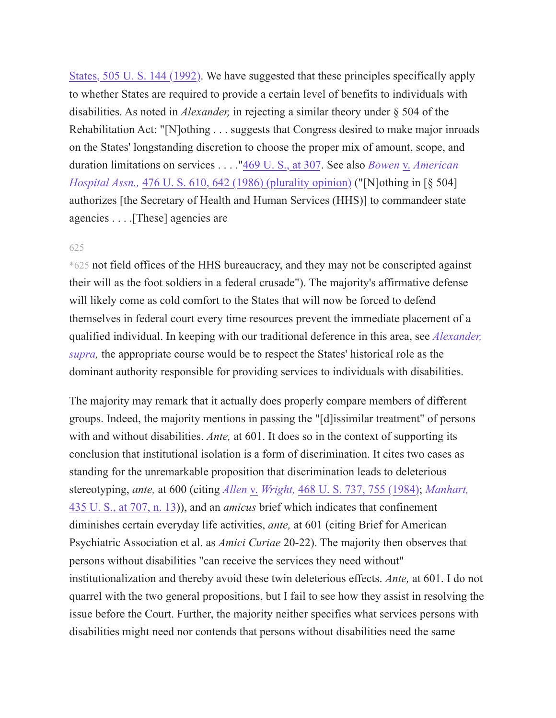[States, 505 U. S. 144 \(1992\).](http://scholar.google.com/scholar_case?case=9243582117703452379&q=+Olmstead+v.+L.C.&hl=en&as_sdt=2,14&scilh=0) We have suggested that these principles specifically apply to whether States are required to provide a certain level of benefits to individuals with disabilities. As noted in *Alexander,* in rejecting a similar theory under § 504 of the Rehabilitation Act: "[N]othing . . . suggests that Congress desired to make major inroads on the States' longstanding discretion to choose the proper mix of amount, scope, and duration limitations on services . . . ."[469 U. S., at 307.](http://scholar.google.com/scholar_case?case=659122674909970890&q=+Olmstead+v.+L.C.&hl=en&as_sdt=2,14&scilh=0) See also *[Bowen](http://scholar.google.com/scholar_case?case=8505748306076031074&q=+Olmstead+v.+L.C.&hl=en&as_sdt=2,14&scilh=0)* [v.](http://scholar.google.com/scholar_case?case=8505748306076031074&q=+Olmstead+v.+L.C.&hl=en&as_sdt=2,14&scilh=0) *[American](http://scholar.google.com/scholar_case?case=8505748306076031074&q=+Olmstead+v.+L.C.&hl=en&as_sdt=2,14&scilh=0)  [Hospital Assn.,](http://scholar.google.com/scholar_case?case=8505748306076031074&q=+Olmstead+v.+L.C.&hl=en&as_sdt=2,14&scilh=0)* [476 U. S. 610, 642 \(1986\) \(plurality opinion\)](http://scholar.google.com/scholar_case?case=8505748306076031074&q=+Olmstead+v.+L.C.&hl=en&as_sdt=2,14&scilh=0) ("[N]othing in [§ 504] authorizes [the Secretary of Health and Human Services (HHS)] to commandeer state agencies . . . .[These] agencies are

#### 625

\*625 not field offices of the HHS bureaucracy, and they may not be conscripted against their will as the foot soldiers in a federal crusade"). The majority's affirmative defense will likely come as cold comfort to the States that will now be forced to defend themselves in federal court every time resources prevent the immediate placement of a qualified individual. In keeping with our traditional deference in this area, see *[Alexander,](http://scholar.google.com/scholar_case?case=659122674909970890&q=+Olmstead+v.+L.C.&hl=en&as_sdt=2,14&scilh=0)  [supra](http://scholar.google.com/scholar_case?case=659122674909970890&q=+Olmstead+v.+L.C.&hl=en&as_sdt=2,14&scilh=0),* the appropriate course would be to respect the States' historical role as the dominant authority responsible for providing services to individuals with disabilities.

The majority may remark that it actually does properly compare members of different groups. Indeed, the majority mentions in passing the "[d]issimilar treatment" of persons with and without disabilities. *Ante*, at 601. It does so in the context of supporting its conclusion that institutional isolation is a form of discrimination. It cites two cases as standing for the unremarkable proposition that discrimination leads to deleterious stereotyping, *ante,* at 600 (citing *[Allen](http://scholar.google.com/scholar_case?case=5272142302925951593&q=+Olmstead+v.+L.C.&hl=en&as_sdt=2,14&scilh=0)* [v.](http://scholar.google.com/scholar_case?case=5272142302925951593&q=+Olmstead+v.+L.C.&hl=en&as_sdt=2,14&scilh=0) *[Wright,](http://scholar.google.com/scholar_case?case=5272142302925951593&q=+Olmstead+v.+L.C.&hl=en&as_sdt=2,14&scilh=0)* [468 U. S. 737, 755 \(1984\);](http://scholar.google.com/scholar_case?case=5272142302925951593&q=+Olmstead+v.+L.C.&hl=en&as_sdt=2,14&scilh=0) *[Manhart,](http://scholar.google.com/scholar_case?case=10164337249526753874&q=+Olmstead+v.+L.C.&hl=en&as_sdt=2,14&scilh=0)* [435 U. S., at 707, n. 13](http://scholar.google.com/scholar_case?case=10164337249526753874&q=+Olmstead+v.+L.C.&hl=en&as_sdt=2,14&scilh=0))), and an *amicus* brief which indicates that confinement diminishes certain everyday life activities, *ante,* at 601 (citing Brief for American Psychiatric Association et al. as *Amici Curiae* 20-22). The majority then observes that persons without disabilities "can receive the services they need without" institutionalization and thereby avoid these twin deleterious effects. *Ante,* at 601. I do not quarrel with the two general propositions, but I fail to see how they assist in resolving the issue before the Court. Further, the majority neither specifies what services persons with disabilities might need nor contends that persons without disabilities need the same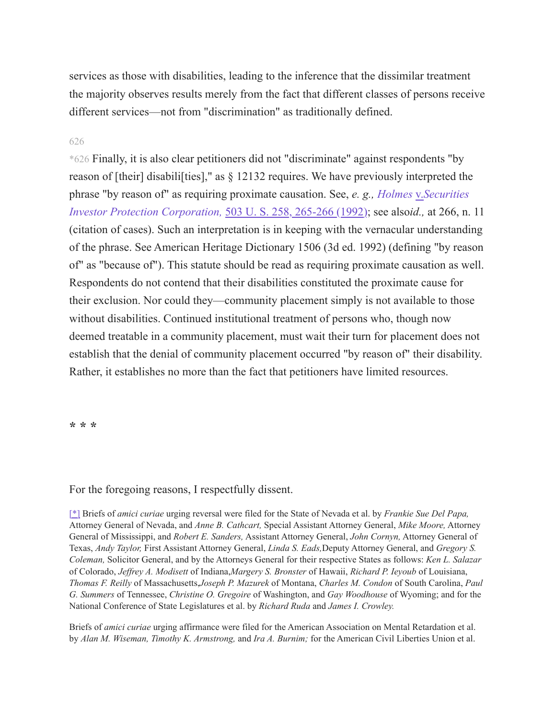services as those with disabilities, leading to the inference that the dissimilar treatment the majority observes results merely from the fact that different classes of persons receive different services—not from "discrimination" as traditionally defined.

#### 626

\*626 Finally, it is also clear petitioners did not "discriminate" against respondents "by reason of [their] disabili[ties]," as § 12132 requires. We have previously interpreted the phrase "by reason of" as requiring proximate causation. See, *e. g., [Holmes](http://scholar.google.com/scholar_case?case=17250801899014439441&q=+Olmstead+v.+L.C.&hl=en&as_sdt=2,14&scilh=0)* [v.](http://scholar.google.com/scholar_case?case=17250801899014439441&q=+Olmstead+v.+L.C.&hl=en&as_sdt=2,14&scilh=0)*[Securities](http://scholar.google.com/scholar_case?case=17250801899014439441&q=+Olmstead+v.+L.C.&hl=en&as_sdt=2,14&scilh=0)  [Investor Protection Corporation,](http://scholar.google.com/scholar_case?case=17250801899014439441&q=+Olmstead+v.+L.C.&hl=en&as_sdt=2,14&scilh=0)* [503 U. S. 258, 265-266 \(1992\);](http://scholar.google.com/scholar_case?case=17250801899014439441&q=+Olmstead+v.+L.C.&hl=en&as_sdt=2,14&scilh=0) see also*id.,* at 266, n. 11 (citation of cases). Such an interpretation is in keeping with the vernacular understanding of the phrase. See American Heritage Dictionary 1506 (3d ed. 1992) (defining "by reason of" as "because of"). This statute should be read as requiring proximate causation as well. Respondents do not contend that their disabilities constituted the proximate cause for their exclusion. Nor could they—community placement simply is not available to those without disabilities. Continued institutional treatment of persons who, though now deemed treatable in a community placement, must wait their turn for placement does not establish that the denial of community placement occurred "by reason of" their disability. Rather, it establishes no more than the fact that petitioners have limited resources.

**\* \* \***

For the foregoing reasons, I respectfully dissent.

[\[\\*\]](http://scholar.google.com/scholar_case?q=+Olmstead+v.+L.C.&hl=en&as_sdt=2,14&case=1057318245348059744&scilh=0#r%5B1%5D) Briefs of *amici curiae* urging reversal were filed for the State of Nevada et al. by *Frankie Sue Del Papa,* Attorney General of Nevada, and *Anne B. Cathcart,* Special Assistant Attorney General, *Mike Moore,* Attorney General of Mississippi, and *Robert E. Sanders,* Assistant Attorney General, *John Cornyn,* Attorney General of Texas, *Andy Taylor,* First Assistant Attorney General, *Linda S. Eads,*Deputy Attorney General, and *Gregory S. Coleman,* Solicitor General, and by the Attorneys General for their respective States as follows: *Ken L. Salazar* of Colorado, *Jeffrey A. Modisett* of Indiana,*Margery S. Bronster* of Hawaii, *Richard P. Ieyoub* of Louisiana, *Thomas F. Reilly* of Massachusetts,*Joseph P. Mazurek* of Montana, *Charles M. Condon* of South Carolina, *Paul G. Summers* of Tennessee, *Christine O. Gregoire* of Washington, and *Gay Woodhouse* of Wyoming; and for the National Conference of State Legislatures et al. by *Richard Ruda* and *James I. Crowley.*

Briefs of *amici curiae* urging affirmance were filed for the American Association on Mental Retardation et al. by *Alan M. Wiseman, Timothy K. Armstrong,* and *Ira A. Burnim;* for the American Civil Liberties Union et al.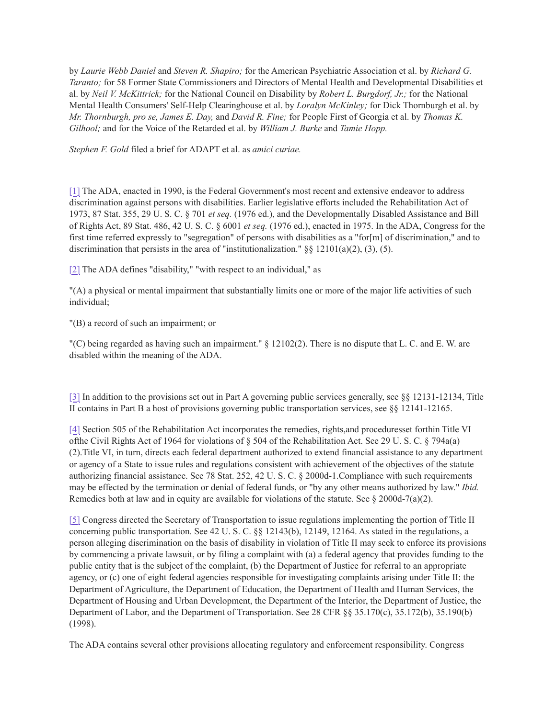by *Laurie Webb Daniel* and *Steven R. Shapiro;* for the American Psychiatric Association et al. by *Richard G. Taranto;* for 58 Former State Commissioners and Directors of Mental Health and Developmental Disabilities et al. by *Neil V. McKittrick;* for the National Council on Disability by *Robert L. Burgdorf, Jr.;* for the National Mental Health Consumers' Self-Help Clearinghouse et al. by *Loralyn McKinley;* for Dick Thornburgh et al. by *Mr. Thornburgh, pro se, James E. Day,* and *David R. Fine;* for People First of Georgia et al. by *Thomas K. Gilhool;* and for the Voice of the Retarded et al. by *William J. Burke* and *Tamie Hopp.*

*Stephen F. Gold* filed a brief for ADAPT et al. as *amici curiae.*

[\[1\]](http://scholar.google.com/scholar_case?q=+Olmstead+v.+L.C.&hl=en&as_sdt=2,14&case=1057318245348059744&scilh=0#r%5B2%5D) The ADA, enacted in 1990, is the Federal Government's most recent and extensive endeavor to address discrimination against persons with disabilities. Earlier legislative efforts included the Rehabilitation Act of 1973, 87 Stat. 355, 29 U. S. C. § 701 *et seq.* (1976 ed.), and the Developmentally Disabled Assistance and Bill of Rights Act, 89 Stat. 486, 42 U. S. C. § 6001 *et seq.* (1976 ed.), enacted in 1975. In the ADA, Congress for the first time referred expressly to "segregation" of persons with disabilities as a "for[m] of discrimination," and to discrimination that persists in the area of "institutionalization."  $\S\S 12101(a)(2)$ , (3), (5).

[\[2\]](http://scholar.google.com/scholar_case?q=+Olmstead+v.+L.C.&hl=en&as_sdt=2,14&case=1057318245348059744&scilh=0#r%5B3%5D) The ADA defines "disability," "with respect to an individual," as

"(A) a physical or mental impairment that substantially limits one or more of the major life activities of such individual;

"(B) a record of such an impairment; or

"(C) being regarded as having such an impairment." § 12102(2). There is no dispute that L. C. and E. W. are disabled within the meaning of the ADA.

[\[3\]](http://scholar.google.com/scholar_case?q=+Olmstead+v.+L.C.&hl=en&as_sdt=2,14&case=1057318245348059744&scilh=0#r%5B4%5D) In addition to the provisions set out in Part A governing public services generally, see §§ 12131-12134, Title II contains in Part B a host of provisions governing public transportation services, see §§ 12141-12165.

[\[4\]](http://scholar.google.com/scholar_case?q=+Olmstead+v.+L.C.&hl=en&as_sdt=2,14&case=1057318245348059744&scilh=0#r%5B5%5D) Section 505 of the Rehabilitation Act incorporates the remedies, rights,and proceduresset forthin Title VI ofthe Civil Rights Act of 1964 for violations of § 504 of the Rehabilitation Act. See 29 U. S. C. § 794a(a) (2).Title VI, in turn, directs each federal department authorized to extend financial assistance to any department or agency of a State to issue rules and regulations consistent with achievement of the objectives of the statute authorizing financial assistance. See 78 Stat. 252, 42 U. S. C. § 2000d-1.Compliance with such requirements may be effected by the termination or denial of federal funds, or "by any other means authorized by law." *Ibid.* Remedies both at law and in equity are available for violations of the statute. See § 2000d-7(a)(2).

[\[5\]](http://scholar.google.com/scholar_case?q=+Olmstead+v.+L.C.&hl=en&as_sdt=2,14&case=1057318245348059744&scilh=0#r%5B6%5D) Congress directed the Secretary of Transportation to issue regulations implementing the portion of Title II concerning public transportation. See 42 U. S. C. §§ 12143(b), 12149, 12164. As stated in the regulations, a person alleging discrimination on the basis of disability in violation of Title II may seek to enforce its provisions by commencing a private lawsuit, or by filing a complaint with (a) a federal agency that provides funding to the public entity that is the subject of the complaint, (b) the Department of Justice for referral to an appropriate agency, or (c) one of eight federal agencies responsible for investigating complaints arising under Title II: the Department of Agriculture, the Department of Education, the Department of Health and Human Services, the Department of Housing and Urban Development, the Department of the Interior, the Department of Justice, the Department of Labor, and the Department of Transportation. See 28 CFR §§ 35.170(c), 35.172(b), 35.190(b) (1998).

The ADA contains several other provisions allocating regulatory and enforcement responsibility. Congress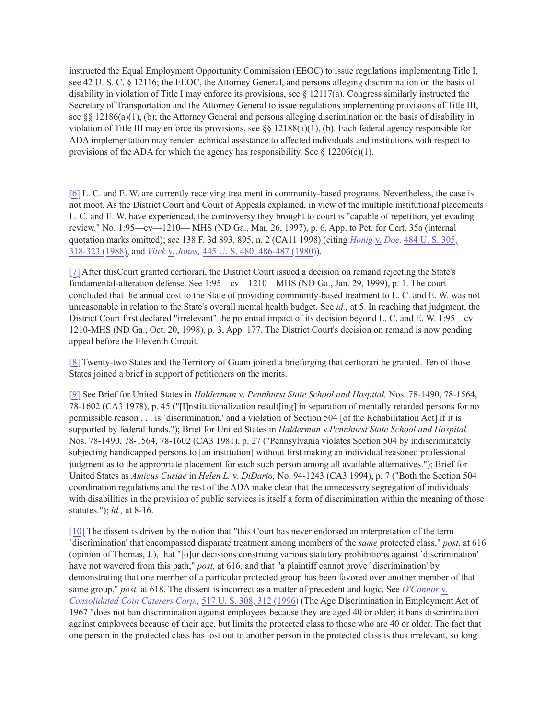instructed the Equal Employment Opportunity Commission (EEOC) to issue regulations implementing Title I, see 42 U. S. C. § 12116; the EEOC, the Attorney General, and persons alleging discrimination on the basis of disability in violation of Title I may enforce its provisions, see  $\S$  12117(a). Congress similarly instructed the Secretary of Transportation and the Attorney General to issue regulations implementing provisions of Title III, see §§ 12186(a)(1), (b); the Attorney General and persons alleging discrimination on the basis of disability in violation of Title III may enforce its provisions, see §§ 12188(a)(1), (b). Each federal agency responsible for ADA implementation may render technical assistance to affected individuals and institutions with respect to provisions of the ADA for which the agency has responsibility. See  $\S$  12206(c)(1).

[\[6\]](http://scholar.google.com/scholar_case?q=+Olmstead+v.+L.C.&hl=en&as_sdt=2,14&case=1057318245348059744&scilh=0#r%5B7%5D) L. C. and E. W. are currently receiving treatment in community-based programs. Nevertheless, the case is not moot. As the District Court and Court of Appeals explained, in view of the multiple institutional placements L. C. and E. W. have experienced, the controversy they brought to court is "capable of repetition, yet evading review." No. 1:95—cv—1210— MHS (ND Ga., Mar. 26, 1997), p. 6, App. to Pet. for Cert. 35a (internal quotation marks omitted); see 138 F. 3d 893, 895, n. 2 (CA11 1998) (citing *[Honig](http://scholar.google.com/scholar_case?case=16042322352248963439&q=+Olmstead+v.+L.C.&hl=en&as_sdt=2,14&scilh=0)* [v.](http://scholar.google.com/scholar_case?case=16042322352248963439&q=+Olmstead+v.+L.C.&hl=en&as_sdt=2,14&scilh=0) *[Doe,](http://scholar.google.com/scholar_case?case=16042322352248963439&q=+Olmstead+v.+L.C.&hl=en&as_sdt=2,14&scilh=0)* [484 U. S. 305,](http://scholar.google.com/scholar_case?case=16042322352248963439&q=+Olmstead+v.+L.C.&hl=en&as_sdt=2,14&scilh=0)  [318-323 \(1988\),](http://scholar.google.com/scholar_case?case=16042322352248963439&q=+Olmstead+v.+L.C.&hl=en&as_sdt=2,14&scilh=0) and *[Vitek](http://scholar.google.com/scholar_case?case=12392576224835810750&q=+Olmstead+v.+L.C.&hl=en&as_sdt=2,14&scilh=0)* [v.](http://scholar.google.com/scholar_case?case=12392576224835810750&q=+Olmstead+v.+L.C.&hl=en&as_sdt=2,14&scilh=0) *[Jones,](http://scholar.google.com/scholar_case?case=12392576224835810750&q=+Olmstead+v.+L.C.&hl=en&as_sdt=2,14&scilh=0)* [445 U. S. 480, 486-487 \(1980\)](http://scholar.google.com/scholar_case?case=12392576224835810750&q=+Olmstead+v.+L.C.&hl=en&as_sdt=2,14&scilh=0)).

[\[7\]](http://scholar.google.com/scholar_case?q=+Olmstead+v.+L.C.&hl=en&as_sdt=2,14&case=1057318245348059744&scilh=0#r%5B8%5D) After thisCourt granted certiorari, the District Court issued a decision on remand rejecting the State's fundamental-alteration defense. See 1:95—cv—1210—MHS (ND Ga., Jan. 29, 1999), p. 1. The court concluded that the annual cost to the State of providing community-based treatment to L. C. and E. W. was not unreasonable in relation to the State's overall mental health budget. See *id.,* at 5. In reaching that judgment, the District Court first declared "irrelevant" the potential impact of its decision beyond L. C. and E. W. 1:95—cv— 1210-MHS (ND Ga., Oct. 20, 1998), p. 3, App. 177. The District Court's decision on remand is now pending appeal before the Eleventh Circuit.

[\[8\]](http://scholar.google.com/scholar_case?q=+Olmstead+v.+L.C.&hl=en&as_sdt=2,14&case=1057318245348059744&scilh=0#r%5B9%5D) Twenty-two States and the Territory of Guam joined a briefurging that certiorari be granted. Ten of those States joined a brief in support of petitioners on the merits.

[\[9\]](http://scholar.google.com/scholar_case?q=+Olmstead+v.+L.C.&hl=en&as_sdt=2,14&case=1057318245348059744&scilh=0#r%5B10%5D) See Brief for United States in *Halderman* v. *Pennhurst State School and Hospital,* Nos. 78-1490, 78-1564, 78-1602 (CA3 1978), p. 45 ("[I]nstitutionalization result[ing] in separation of mentally retarded persons for no permissible reason . . . is `discrimination,' and a violation of Section 504 [of the Rehabilitation Act] if it is supported by federal funds."); Brief for United States in *Halderman* v.*Pennhurst State School and Hospital,* Nos. 78-1490, 78-1564, 78-1602 (CA3 1981), p. 27 ("Pennsylvania violates Section 504 by indiscriminately subjecting handicapped persons to [an institution] without first making an individual reasoned professional judgment as to the appropriate placement for each such person among all available alternatives."); Brief for United States as *Amicus Curiae* in *Helen L.* v. *DiDario,* No. 94-1243 (CA3 1994), p. 7 ("Both the Section 504 coordination regulations and the rest of the ADA make clear that the unnecessary segregation of individuals with disabilities in the provision of public services is itself a form of discrimination within the meaning of those statutes."); *id.,* at 8-16.

[\[10\]](http://scholar.google.com/scholar_case?q=+Olmstead+v.+L.C.&hl=en&as_sdt=2,14&case=1057318245348059744&scilh=0#r%5B11%5D) The dissent is driven by the notion that "this Court has never endorsed an interpretation of the term `discrimination' that encompassed disparate treatment among members of the *same* protected class," *post,* at 616 (opinion of Thomas, J.), that "[o]ur decisions construing various statutory prohibitions against `discrimination' have not wavered from this path," *post,* at 616, and that "a plaintiff cannot prove `discrimination' by demonstrating that one member of a particular protected group has been favored over another member of that same group," *post,* at 618. The dissent is incorrect as a matter of precedent and logic. See *[O'Connor](http://scholar.google.com/scholar_case?case=7002620990625859659&q=+Olmstead+v.+L.C.&hl=en&as_sdt=2,14&scilh=0)* [v.](http://scholar.google.com/scholar_case?case=7002620990625859659&q=+Olmstead+v.+L.C.&hl=en&as_sdt=2,14&scilh=0) *[Consolidated Coin Caterers Corp.,](http://scholar.google.com/scholar_case?case=7002620990625859659&q=+Olmstead+v.+L.C.&hl=en&as_sdt=2,14&scilh=0)* [517 U. S. 308, 312 \(1996\)](http://scholar.google.com/scholar_case?case=7002620990625859659&q=+Olmstead+v.+L.C.&hl=en&as_sdt=2,14&scilh=0) (The Age Discrimination in Employment Act of 1967 "does not ban discrimination against employees because they are aged 40 or older; it bans discrimination against employees because of their age, but limits the protected class to those who are 40 or older. The fact that one person in the protected class has lost out to another person in the protected class is thus irrelevant, so long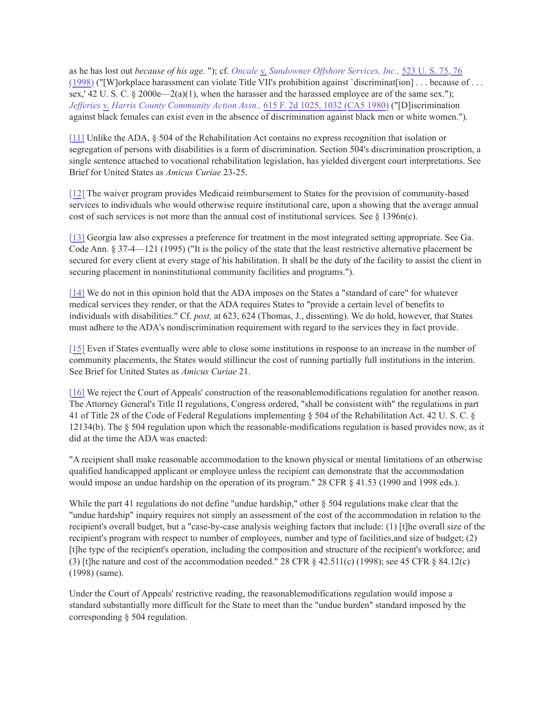as he has lost out *because of his age.* "); cf. *[Oncale](http://scholar.google.com/scholar_case?case=11566261664355830474&q=+Olmstead+v.+L.C.&hl=en&as_sdt=2,14&scilh=0)* [v.](http://scholar.google.com/scholar_case?case=11566261664355830474&q=+Olmstead+v.+L.C.&hl=en&as_sdt=2,14&scilh=0) *[Sundowner Offshore Services, Inc.,](http://scholar.google.com/scholar_case?case=11566261664355830474&q=+Olmstead+v.+L.C.&hl=en&as_sdt=2,14&scilh=0)* [523 U. S. 75, 76](http://scholar.google.com/scholar_case?case=11566261664355830474&q=+Olmstead+v.+L.C.&hl=en&as_sdt=2,14&scilh=0)  [\(1998\)](http://scholar.google.com/scholar_case?case=11566261664355830474&q=+Olmstead+v.+L.C.&hl=en&as_sdt=2,14&scilh=0) ("[W]orkplace harassment can violate Title VII's prohibition against `discriminat[ion] . . . because of . . . sex,' 42 U. S. C. § 2000e—2(a)(1), when the harasser and the harassed employee are of the same sex."); *[Jefferies](http://scholar.google.com/scholar_case?case=15266505491842636683&q=+Olmstead+v.+L.C.&hl=en&as_sdt=2,14&scilh=0)* [v.](http://scholar.google.com/scholar_case?case=15266505491842636683&q=+Olmstead+v.+L.C.&hl=en&as_sdt=2,14&scilh=0) *[Harris County Community Action Assn.,](http://scholar.google.com/scholar_case?case=15266505491842636683&q=+Olmstead+v.+L.C.&hl=en&as_sdt=2,14&scilh=0)* [615 F. 2d 1025, 1032 \(CA5 1980\)](http://scholar.google.com/scholar_case?case=15266505491842636683&q=+Olmstead+v.+L.C.&hl=en&as_sdt=2,14&scilh=0) ("[D]iscrimination against black females can exist even in the absence of discrimination against black men or white women.").

[\[11\]](http://scholar.google.com/scholar_case?q=+Olmstead+v.+L.C.&hl=en&as_sdt=2,14&case=1057318245348059744&scilh=0#r%5B12%5D) Unlike the ADA, § 504 of the Rehabilitation Act contains no express recognition that isolation or segregation of persons with disabilities is a form of discrimination. Section 504's discrimination proscription, a single sentence attached to vocational rehabilitation legislation, has yielded divergent court interpretations. See Brief for United States as *Amicus Curiae* 23-25.

[\[12\]](http://scholar.google.com/scholar_case?q=+Olmstead+v.+L.C.&hl=en&as_sdt=2,14&case=1057318245348059744&scilh=0#r%5B13%5D) The waiver program provides Medicaid reimbursement to States for the provision of community-based services to individuals who would otherwise require institutional care, upon a showing that the average annual cost of such services is not more than the annual cost of institutional services. See  $\S$  1396n(c).

[\[13\]](http://scholar.google.com/scholar_case?q=+Olmstead+v.+L.C.&hl=en&as_sdt=2,14&case=1057318245348059744&scilh=0#r%5B14%5D) Georgia law also expresses a preference for treatment in the most integrated setting appropriate. See Ga. Code Ann. § 37-4—121 (1995) ("It is the policy of the state that the least restrictive alternative placement be secured for every client at every stage of his habilitation. It shall be the duty of the facility to assist the client in securing placement in noninstitutional community facilities and programs.").

[\[14\]](http://scholar.google.com/scholar_case?q=+Olmstead+v.+L.C.&hl=en&as_sdt=2,14&case=1057318245348059744&scilh=0#r%5B15%5D) We do not in this opinion hold that the ADA imposes on the States a "standard of care" for whatever medical services they render, or that the ADA requires States to "provide a certain level of benefits to individuals with disabilities." Cf. *post,* at 623, 624 (Thomas, J., dissenting). We do hold, however, that States must adhere to the ADA's nondiscrimination requirement with regard to the services they in fact provide.

[\[15\]](http://scholar.google.com/scholar_case?q=+Olmstead+v.+L.C.&hl=en&as_sdt=2,14&case=1057318245348059744&scilh=0#r%5B16%5D) Even if States eventually were able to close some institutions in response to an increase in the number of community placements, the States would stillincur the cost of running partially full institutions in the interim. See Brief for United States as *Amicus Curiae* 21.

[\[16\]](http://scholar.google.com/scholar_case?q=+Olmstead+v.+L.C.&hl=en&as_sdt=2,14&case=1057318245348059744&scilh=0#r%5B17%5D) We reject the Court of Appeals' construction of the reasonablemodifications regulation for another reason. The Attorney General's Title II regulations, Congress ordered, "shall be consistent with" the regulations in part 41 of Title 28 of the Code of Federal Regulations implementing § 504 of the Rehabilitation Act. 42 U. S. C. § 12134(b). The § 504 regulation upon which the reasonable-modifications regulation is based provides now, as it did at the time the ADA was enacted:

"A recipient shall make reasonable accommodation to the known physical or mental limitations of an otherwise qualified handicapped applicant or employee unless the recipient can demonstrate that the accommodation would impose an undue hardship on the operation of its program." 28 CFR § 41.53 (1990 and 1998 eds.).

While the part 41 regulations do not define "undue hardship," other § 504 regulations make clear that the "undue hardship" inquiry requires not simply an assessment of the cost of the accommodation in relation to the recipient's overall budget, but a "case-by-case analysis weighing factors that include: (1) [t]he overall size of the recipient's program with respect to number of employees, number and type of facilities,and size of budget; (2) [t]he type of the recipient's operation, including the composition and structure of the recipient's workforce; and (3) [t]he nature and cost of the accommodation needed." 28 CFR  $\S$  42.511(c) (1998); see 45 CFR  $\S$  84.12(c) (1998) (same).

Under the Court of Appeals' restrictive reading, the reasonablemodifications regulation would impose a standard substantially more difficult for the State to meet than the "undue burden" standard imposed by the corresponding § 504 regulation.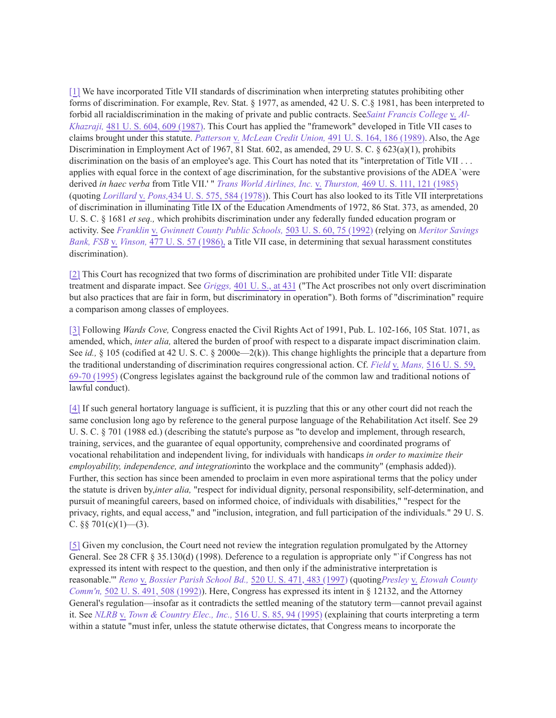[\[1\]](http://scholar.google.com/scholar_case?q=+Olmstead+v.+L.C.&hl=en&as_sdt=2,14&case=1057318245348059744&scilh=0#r%5B18%5D) We have incorporated Title VII standards of discrimination when interpreting statutes prohibiting other forms of discrimination. For example, Rev. Stat. § 1977, as amended, 42 U. S. C.§ 1981, has been interpreted to forbid all racialdiscrimination in the making of private and public contracts. See*[Saint Francis College](http://scholar.google.com/scholar_case?case=17044464417991530305&q=+Olmstead+v.+L.C.&hl=en&as_sdt=2,14&scilh=0)* [v.](http://scholar.google.com/scholar_case?case=17044464417991530305&q=+Olmstead+v.+L.C.&hl=en&as_sdt=2,14&scilh=0) *[Al-](http://scholar.google.com/scholar_case?case=17044464417991530305&q=+Olmstead+v.+L.C.&hl=en&as_sdt=2,14&scilh=0)[Khazraji,](http://scholar.google.com/scholar_case?case=17044464417991530305&q=+Olmstead+v.+L.C.&hl=en&as_sdt=2,14&scilh=0)* [481 U. S. 604, 609 \(1987\).](http://scholar.google.com/scholar_case?case=17044464417991530305&q=+Olmstead+v.+L.C.&hl=en&as_sdt=2,14&scilh=0) This Court has applied the "framework" developed in Title VII cases to claims brought under this statute. *[Patterson](http://scholar.google.com/scholar_case?case=1263679142063583847&q=+Olmstead+v.+L.C.&hl=en&as_sdt=2,14&scilh=0)* [v.](http://scholar.google.com/scholar_case?case=1263679142063583847&q=+Olmstead+v.+L.C.&hl=en&as_sdt=2,14&scilh=0) *[McLean Credit Union,](http://scholar.google.com/scholar_case?case=1263679142063583847&q=+Olmstead+v.+L.C.&hl=en&as_sdt=2,14&scilh=0)* [491 U. S. 164, 186 \(1989\)](http://scholar.google.com/scholar_case?case=1263679142063583847&q=+Olmstead+v.+L.C.&hl=en&as_sdt=2,14&scilh=0). Also, the Age Discrimination in Employment Act of 1967, 81 Stat. 602, as amended, 29 U. S. C. § 623(a)(1), prohibits discrimination on the basis of an employee's age. This Court has noted that its "interpretation of Title VII . . . applies with equal force in the context of age discrimination, for the substantive provisions of the ADEA `were derived *in haec verba* from Title VII.' " *[Trans World Airlines, Inc.](http://scholar.google.com/scholar_case?case=17754056693050291298&q=+Olmstead+v.+L.C.&hl=en&as_sdt=2,14&scilh=0)* [v.](http://scholar.google.com/scholar_case?case=17754056693050291298&q=+Olmstead+v.+L.C.&hl=en&as_sdt=2,14&scilh=0) *[Thurston,](http://scholar.google.com/scholar_case?case=17754056693050291298&q=+Olmstead+v.+L.C.&hl=en&as_sdt=2,14&scilh=0)* [469 U. S. 111, 121 \(1985\)](http://scholar.google.com/scholar_case?case=17754056693050291298&q=+Olmstead+v.+L.C.&hl=en&as_sdt=2,14&scilh=0) (quoting *[Lorillard](http://scholar.google.com/scholar_case?case=2359633022092247774&q=+Olmstead+v.+L.C.&hl=en&as_sdt=2,14&scilh=0)* [v.](http://scholar.google.com/scholar_case?case=2359633022092247774&q=+Olmstead+v.+L.C.&hl=en&as_sdt=2,14&scilh=0) *[Pons,](http://scholar.google.com/scholar_case?case=2359633022092247774&q=+Olmstead+v.+L.C.&hl=en&as_sdt=2,14&scilh=0)*[434 U. S. 575, 584 \(1978\)](http://scholar.google.com/scholar_case?case=2359633022092247774&q=+Olmstead+v.+L.C.&hl=en&as_sdt=2,14&scilh=0)). This Court has also looked to its Title VII interpretations of discrimination in illuminating Title IX of the Education Amendments of 1972, 86 Stat. 373, as amended, 20 U. S. C. § 1681 *et seq.,* which prohibits discrimination under any federally funded education program or activity. See *[Franklin](http://scholar.google.com/scholar_case?case=10454513424819427018&q=+Olmstead+v.+L.C.&hl=en&as_sdt=2,14&scilh=0)* [v.](http://scholar.google.com/scholar_case?case=10454513424819427018&q=+Olmstead+v.+L.C.&hl=en&as_sdt=2,14&scilh=0) *[Gwinnett County Public Schools,](http://scholar.google.com/scholar_case?case=10454513424819427018&q=+Olmstead+v.+L.C.&hl=en&as_sdt=2,14&scilh=0)* [503 U. S. 60, 75 \(1992\)](http://scholar.google.com/scholar_case?case=10454513424819427018&q=+Olmstead+v.+L.C.&hl=en&as_sdt=2,14&scilh=0) (relying on *[Meritor Savings](http://scholar.google.com/scholar_case?case=14616838878214701501&q=+Olmstead+v.+L.C.&hl=en&as_sdt=2,14&scilh=0)  [Bank, FSB](http://scholar.google.com/scholar_case?case=14616838878214701501&q=+Olmstead+v.+L.C.&hl=en&as_sdt=2,14&scilh=0)* [v.](http://scholar.google.com/scholar_case?case=14616838878214701501&q=+Olmstead+v.+L.C.&hl=en&as_sdt=2,14&scilh=0) *[Vinson,](http://scholar.google.com/scholar_case?case=14616838878214701501&q=+Olmstead+v.+L.C.&hl=en&as_sdt=2,14&scilh=0)* [477 U. S. 57 \(1986\),](http://scholar.google.com/scholar_case?case=14616838878214701501&q=+Olmstead+v.+L.C.&hl=en&as_sdt=2,14&scilh=0) a Title VII case, in determining that sexual harassment constitutes discrimination).

[\[2\]](http://scholar.google.com/scholar_case?q=+Olmstead+v.+L.C.&hl=en&as_sdt=2,14&case=1057318245348059744&scilh=0#r%5B19%5D) This Court has recognized that two forms of discrimination are prohibited under Title VII: disparate treatment and disparate impact. See *[Griggs,](http://scholar.google.com/scholar_case?case=8655598674229196978&q=+Olmstead+v.+L.C.&hl=en&as_sdt=2,14&scilh=0)* [401 U. S., at 431](http://scholar.google.com/scholar_case?case=8655598674229196978&q=+Olmstead+v.+L.C.&hl=en&as_sdt=2,14&scilh=0) ("The Act proscribes not only overt discrimination but also practices that are fair in form, but discriminatory in operation"). Both forms of "discrimination" require a comparison among classes of employees.

[\[3\]](http://scholar.google.com/scholar_case?q=+Olmstead+v.+L.C.&hl=en&as_sdt=2,14&case=1057318245348059744&scilh=0#r%5B20%5D) Following *Wards Cove,* Congress enacted the Civil Rights Act of 1991, Pub. L. 102-166, 105 Stat. 1071, as amended, which, *inter alia,* altered the burden of proof with respect to a disparate impact discrimination claim. See *id.*, § 105 (codified at 42 U. S. C. § 2000e—2(k)). This change highlights the principle that a departure from the traditional understanding of discrimination requires congressional action. Cf. *[Field](http://scholar.google.com/scholar_case?case=6764511411241847013&q=+Olmstead+v.+L.C.&hl=en&as_sdt=2,14&scilh=0)* [v.](http://scholar.google.com/scholar_case?case=6764511411241847013&q=+Olmstead+v.+L.C.&hl=en&as_sdt=2,14&scilh=0) *[Mans,](http://scholar.google.com/scholar_case?case=6764511411241847013&q=+Olmstead+v.+L.C.&hl=en&as_sdt=2,14&scilh=0)* [516 U. S. 59,](http://scholar.google.com/scholar_case?case=6764511411241847013&q=+Olmstead+v.+L.C.&hl=en&as_sdt=2,14&scilh=0)  [69-70 \(1995\)](http://scholar.google.com/scholar_case?case=6764511411241847013&q=+Olmstead+v.+L.C.&hl=en&as_sdt=2,14&scilh=0) (Congress legislates against the background rule of the common law and traditional notions of lawful conduct).

[\[4\]](http://scholar.google.com/scholar_case?q=+Olmstead+v.+L.C.&hl=en&as_sdt=2,14&case=1057318245348059744&scilh=0#r%5B21%5D) If such general hortatory language is sufficient, it is puzzling that this or any other court did not reach the same conclusion long ago by reference to the general purpose language of the Rehabilitation Act itself. See 29 U. S. C. § 701 (1988 ed.) (describing the statute's purpose as "to develop and implement, through research, training, services, and the guarantee of equal opportunity, comprehensive and coordinated programs of vocational rehabilitation and independent living, for individuals with handicaps *in order to maximize their employability, independence, and integration*into the workplace and the community" (emphasis added)). Further, this section has since been amended to proclaim in even more aspirational terms that the policy under the statute is driven by,*inter alia,* "respect for individual dignity, personal responsibility, self-determination, and pursuit of meaningful careers, based on informed choice, of individuals with disabilities," "respect for the privacy, rights, and equal access," and "inclusion, integration, and full participation of the individuals." 29 U. S. C.  $\S$ § 701(c)(1)—(3).

[\[5\]](http://scholar.google.com/scholar_case?q=+Olmstead+v.+L.C.&hl=en&as_sdt=2,14&case=1057318245348059744&scilh=0#r%5B22%5D) Given my conclusion, the Court need not review the integration regulation promulgated by the Attorney General. See 28 CFR § 35.130(d) (1998). Deference to a regulation is appropriate only "`if Congress has not expressed its intent with respect to the question, and then only if the administrative interpretation is reasonable.'" *[Reno](http://scholar.google.com/scholar_case?case=12025500049489987147&q=+Olmstead+v.+L.C.&hl=en&as_sdt=2,14&scilh=0)* [v.](http://scholar.google.com/scholar_case?case=12025500049489987147&q=+Olmstead+v.+L.C.&hl=en&as_sdt=2,14&scilh=0) *[Bossier Parish School Bd.,](http://scholar.google.com/scholar_case?case=12025500049489987147&q=+Olmstead+v.+L.C.&hl=en&as_sdt=2,14&scilh=0)* [520 U. S. 471, 483 \(1997\)](http://scholar.google.com/scholar_case?case=12025500049489987147&q=+Olmstead+v.+L.C.&hl=en&as_sdt=2,14&scilh=0) (quoting*[Presley](http://scholar.google.com/scholar_case?case=3688033305690759513&q=+Olmstead+v.+L.C.&hl=en&as_sdt=2,14&scilh=0)* [v.](http://scholar.google.com/scholar_case?case=3688033305690759513&q=+Olmstead+v.+L.C.&hl=en&as_sdt=2,14&scilh=0) *[Etowah County](http://scholar.google.com/scholar_case?case=3688033305690759513&q=+Olmstead+v.+L.C.&hl=en&as_sdt=2,14&scilh=0)  [Comm'n,](http://scholar.google.com/scholar_case?case=3688033305690759513&q=+Olmstead+v.+L.C.&hl=en&as_sdt=2,14&scilh=0)* [502 U. S. 491, 508 \(1992\)\)](http://scholar.google.com/scholar_case?case=3688033305690759513&q=+Olmstead+v.+L.C.&hl=en&as_sdt=2,14&scilh=0). Here, Congress has expressed its intent in § 12132, and the Attorney General's regulation—insofar as it contradicts the settled meaning of the statutory term—cannot prevail against it. See *[NLRB](http://scholar.google.com/scholar_case?case=10260765168422971704&q=+Olmstead+v.+L.C.&hl=en&as_sdt=2,14&scilh=0)* [v.](http://scholar.google.com/scholar_case?case=10260765168422971704&q=+Olmstead+v.+L.C.&hl=en&as_sdt=2,14&scilh=0) *[Town & Country Elec., Inc.,](http://scholar.google.com/scholar_case?case=10260765168422971704&q=+Olmstead+v.+L.C.&hl=en&as_sdt=2,14&scilh=0)* [516 U. S. 85, 94 \(1995\)](http://scholar.google.com/scholar_case?case=10260765168422971704&q=+Olmstead+v.+L.C.&hl=en&as_sdt=2,14&scilh=0) (explaining that courts interpreting a term within a statute "must infer, unless the statute otherwise dictates, that Congress means to incorporate the